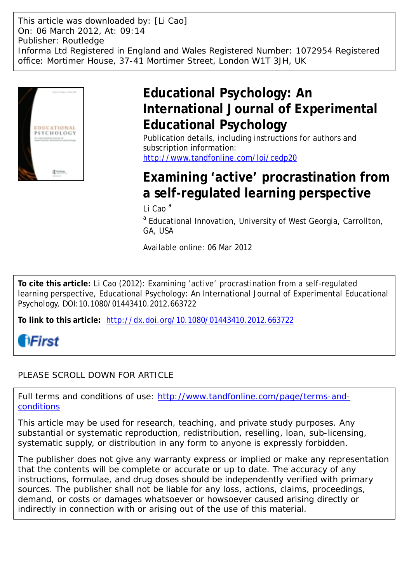This article was downloaded by: [Li Cao] On: 06 March 2012, At: 09:14 Publisher: Routledge Informa Ltd Registered in England and Wales Registered Number: 1072954 Registered office: Mortimer House, 37-41 Mortimer Street, London W1T 3JH, UK



# **Educational Psychology: An International Journal of Experimental Educational Psychology**

Publication details, including instructions for authors and subscription information: <http://www.tandfonline.com/loi/cedp20>

# **Examining 'active' procrastination from a self-regulated learning perspective**

Li Cao $^a$ 

<sup>a</sup> Educational Innovation, University of West Georgia, Carrollton, GA, USA

Available online: 06 Mar 2012

**To cite this article:** Li Cao (2012): Examining 'active' procrastination from a self-regulated learning perspective, Educational Psychology: An International Journal of Experimental Educational Psychology, DOI:10.1080/01443410.2012.663722

**To link to this article:** <http://dx.doi.org/10.1080/01443410.2012.663722>



# PLEASE SCROLL DOWN FOR ARTICLE

Full terms and conditions of use: [http://www.tandfonline.com/page/terms-and](http://www.tandfonline.com/page/terms-and-conditions)[conditions](http://www.tandfonline.com/page/terms-and-conditions)

This article may be used for research, teaching, and private study purposes. Any substantial or systematic reproduction, redistribution, reselling, loan, sub-licensing, systematic supply, or distribution in any form to anyone is expressly forbidden.

The publisher does not give any warranty express or implied or make any representation that the contents will be complete or accurate or up to date. The accuracy of any instructions, formulae, and drug doses should be independently verified with primary sources. The publisher shall not be liable for any loss, actions, claims, proceedings, demand, or costs or damages whatsoever or howsoever caused arising directly or indirectly in connection with or arising out of the use of this material.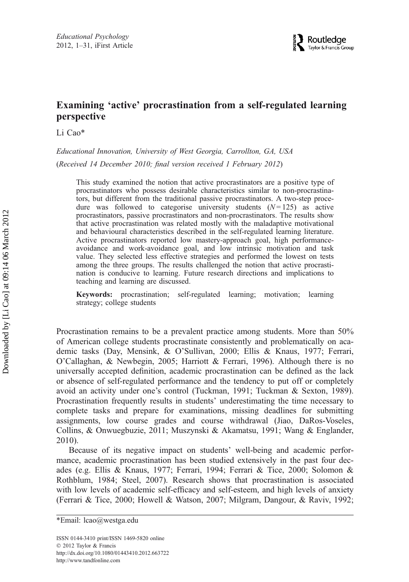# Examining 'active' procrastination from a self-regulated learning perspective

Li Cao\*

Educational Innovation, University of West Georgia, Carrollton, GA, USA (Received 14 December 2010; final version received 1 February 2012)

This study examined the notion that active procrastinators are a positive type of procrastinators who possess desirable characteristics similar to non-procrastinators, but different from the traditional passive procrastinators. A two-step procedure was followed to categorise university students  $(N=125)$  as active procrastinators, passive procrastinators and non-procrastinators. The results show that active procrastination was related mostly with the maladaptive motivational and behavioural characteristics described in the self-regulated learning literature. Active procrastinators reported low mastery-approach goal, high performanceavoidance and work-avoidance goal, and low intrinsic motivation and task value. They selected less effective strategies and performed the lowest on tests among the three groups. The results challenged the notion that active procrastination is conducive to learning. Future research directions and implications to teaching and learning are discussed.

Keywords: procrastination; self-regulated learning; motivation; learning strategy; college students

Procrastination remains to be a prevalent practice among students. More than 50% of American college students procrastinate consistently and problematically on academic tasks (Day, Mensink, & O'Sullivan, 2000; Ellis & Knaus, 1977; Ferrari, O'Callaghan, & Newbegin, 2005; Harriott & Ferrari, 1996). Although there is no universally accepted definition, academic procrastination can be defined as the lack or absence of self-regulated performance and the tendency to put off or completely avoid an activity under one's control (Tuckman, 1991; Tuckman & Sexton, 1989). Procrastination frequently results in students' underestimating the time necessary to complete tasks and prepare for examinations, missing deadlines for submitting assignments, low course grades and course withdrawal (Jiao, DaRos-Voseles, Collins, & Onwuegbuzie, 2011; Muszynski & Akamatsu, 1991; Wang & Englander, 2010).

Because of its negative impact on students' well-being and academic performance, academic procrastination has been studied extensively in the past four decades (e.g. Ellis & Knaus, 1977; Ferrari, 1994; Ferrari & Tice, 2000; Solomon & Rothblum, 1984; Steel, 2007). Research shows that procrastination is associated with low levels of academic self-efficacy and self-esteem, and high levels of anxiety (Ferrari & Tice, 2000; Howell & Watson, 2007; Milgram, Dangour, & Raviv, 1992;

<sup>\*</sup>Email: lcao@westga.edu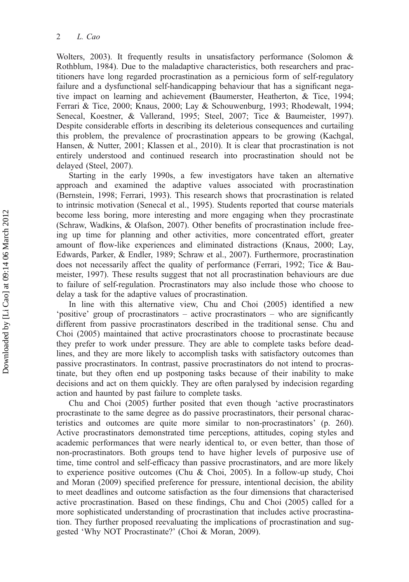Wolters, 2003). It frequently results in unsatisfactory performance (Solomon & Rothblum, 1984). Due to the maladaptive characteristics, both researchers and practitioners have long regarded procrastination as a pernicious form of self-regulatory failure and a dysfunctional self-handicapping behaviour that has a significant negative impact on learning and achievement (Baumerster, Heatherton, & Tice, 1994; Ferrari & Tice, 2000; Knaus, 2000; Lay & Schouwenburg, 1993; Rhodewalt, 1994; Senecal, Koestner, & Vallerand, 1995; Steel, 2007; Tice & Baumeister, 1997). Despite considerable efforts in describing its deleterious consequences and curtailing this problem, the prevalence of procrastination appears to be growing (Kachgal, Hansen, & Nutter, 2001; Klassen et al., 2010). It is clear that procrastination is not entirely understood and continued research into procrastination should not be delayed (Steel, 2007).

Starting in the early 1990s, a few investigators have taken an alternative approach and examined the adaptive values associated with procrastination (Bernstein, 1998; Ferrari, 1993). This research shows that procrastination is related to intrinsic motivation (Senecal et al., 1995). Students reported that course materials become less boring, more interesting and more engaging when they procrastinate (Schraw, Wadkins, & Olafson, 2007). Other benefits of procrastination include freeing up time for planning and other activities, more concentrated effort, greater amount of flow-like experiences and eliminated distractions (Knaus, 2000; Lay, Edwards, Parker, & Endler, 1989; Schraw et al., 2007). Furthermore, procrastination does not necessarily affect the quality of performance (Ferrari, 1992; Tice & Baumeister, 1997). These results suggest that not all procrastination behaviours are due to failure of self-regulation. Procrastinators may also include those who choose to delay a task for the adaptive values of procrastination.

In line with this alternative view, Chu and Choi (2005) identified a new 'positive' group of procrastinators – active procrastinators – who are significantly different from passive procrastinators described in the traditional sense. Chu and Choi (2005) maintained that active procrastinators choose to procrastinate because they prefer to work under pressure. They are able to complete tasks before deadlines, and they are more likely to accomplish tasks with satisfactory outcomes than passive procrastinators. In contrast, passive procrastinators do not intend to procrastinate, but they often end up postponing tasks because of their inability to make decisions and act on them quickly. They are often paralysed by indecision regarding action and haunted by past failure to complete tasks.

Chu and Choi (2005) further posited that even though 'active procrastinators procrastinate to the same degree as do passive procrastinators, their personal characteristics and outcomes are quite more similar to non-procrastinators' (p. 260). Active procrastinators demonstrated time perceptions, attitudes, coping styles and academic performances that were nearly identical to, or even better, than those of non-procrastinators. Both groups tend to have higher levels of purposive use of time, time control and self-efficacy than passive procrastinators, and are more likely to experience positive outcomes (Chu & Choi, 2005). In a follow-up study, Choi and Moran (2009) specified preference for pressure, intentional decision, the ability to meet deadlines and outcome satisfaction as the four dimensions that characterised active procrastination. Based on these findings, Chu and Choi (2005) called for a more sophisticated understanding of procrastination that includes active procrastination. They further proposed reevaluating the implications of procrastination and suggested 'Why NOT Procrastinate?' (Choi & Moran, 2009).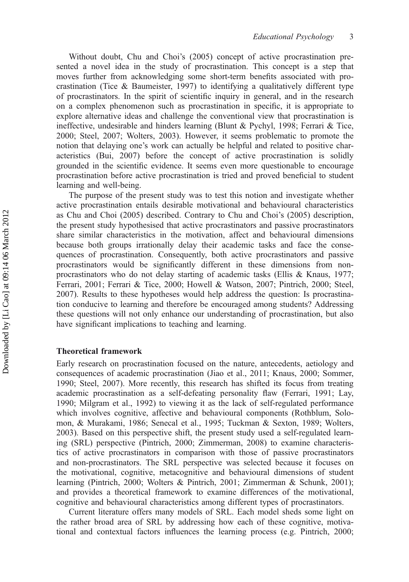Without doubt, Chu and Choi's (2005) concept of active procrastination presented a novel idea in the study of procrastination. This concept is a step that moves further from acknowledging some short-term benefits associated with procrastination (Tice & Baumeister, 1997) to identifying a qualitatively different type of procrastinators. In the spirit of scientific inquiry in general, and in the research on a complex phenomenon such as procrastination in specific, it is appropriate to explore alternative ideas and challenge the conventional view that procrastination is ineffective, undesirable and hinders learning (Blunt & Pychyl, 1998; Ferrari & Tice, 2000; Steel, 2007; Wolters, 2003). However, it seems problematic to promote the notion that delaying one's work can actually be helpful and related to positive characteristics (Bui, 2007) before the concept of active procrastination is solidly grounded in the scientific evidence. It seems even more questionable to encourage procrastination before active procrastination is tried and proved beneficial to student learning and well-being.

The purpose of the present study was to test this notion and investigate whether active procrastination entails desirable motivational and behavioural characteristics as Chu and Choi (2005) described. Contrary to Chu and Choi's (2005) description, the present study hypothesised that active procrastinators and passive procrastinators share similar characteristics in the motivation, affect and behavioural dimensions because both groups irrationally delay their academic tasks and face the consequences of procrastination. Consequently, both active procrastinators and passive procrastinators would be significantly different in these dimensions from nonprocrastinators who do not delay starting of academic tasks (Ellis & Knaus, 1977; Ferrari, 2001; Ferrari & Tice, 2000; Howell & Watson, 2007; Pintrich, 2000; Steel, 2007). Results to these hypotheses would help address the question: Is procrastination conducive to learning and therefore be encouraged among students? Addressing these questions will not only enhance our understanding of procrastination, but also have significant implications to teaching and learning.

### Theoretical framework

Early research on procrastination focused on the nature, antecedents, aetiology and consequences of academic procrastination (Jiao et al., 2011; Knaus, 2000; Sommer, 1990; Steel, 2007). More recently, this research has shifted its focus from treating academic procrastination as a self-defeating personality flaw (Ferrari, 1991; Lay, 1990; Milgram et al., 1992) to viewing it as the lack of self-regulated performance which involves cognitive, affective and behavioural components (Rothblum, Solomon, & Murakami, 1986; Senecal et al., 1995; Tuckman & Sexton, 1989; Wolters, 2003). Based on this perspective shift, the present study used a self-regulated learning (SRL) perspective (Pintrich, 2000; Zimmerman, 2008) to examine characteristics of active procrastinators in comparison with those of passive procrastinators and non-procrastinators. The SRL perspective was selected because it focuses on the motivational, cognitive, metacognitive and behavioural dimensions of student learning (Pintrich, 2000; Wolters & Pintrich, 2001; Zimmerman & Schunk, 2001); and provides a theoretical framework to examine differences of the motivational, cognitive and behavioural characteristics among different types of procrastinators.

Current literature offers many models of SRL. Each model sheds some light on the rather broad area of SRL by addressing how each of these cognitive, motivational and contextual factors influences the learning process (e.g. Pintrich, 2000;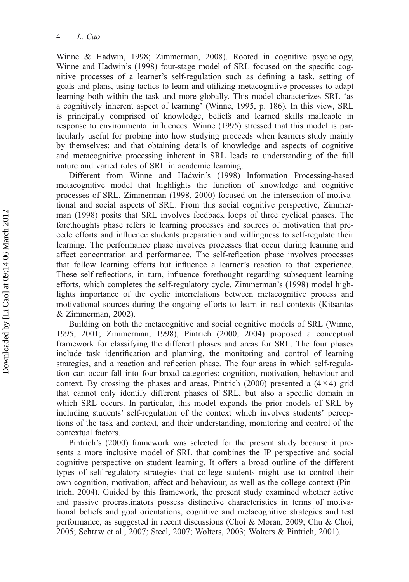Winne & Hadwin, 1998; Zimmerman, 2008). Rooted in cognitive psychology, Winne and Hadwin's (1998) four-stage model of SRL focused on the specific cognitive processes of a learner's self-regulation such as defining a task, setting of goals and plans, using tactics to learn and utilizing metacognitive processes to adapt learning both within the task and more globally. This model characterizes SRL 'as a cognitively inherent aspect of learning' (Winne, 1995, p. 186). In this view, SRL is principally comprised of knowledge, beliefs and learned skills malleable in response to environmental influences. Winne (1995) stressed that this model is particularly useful for probing into how studying proceeds when learners study mainly by themselves; and that obtaining details of knowledge and aspects of cognitive and metacognitive processing inherent in SRL leads to understanding of the full nature and varied roles of SRL in academic learning.

Different from Winne and Hadwin's (1998) Information Processing-based metacognitive model that highlights the function of knowledge and cognitive processes of SRL, Zimmerman (1998, 2000) focused on the intersection of motivational and social aspects of SRL. From this social cognitive perspective, Zimmerman (1998) posits that SRL involves feedback loops of three cyclical phases. The forethoughts phase refers to learning processes and sources of motivation that precede efforts and influence students preparation and willingness to self-regulate their learning. The performance phase involves processes that occur during learning and affect concentration and performance. The self-reflection phase involves processes that follow learning efforts but influence a learner's reaction to that experience. These self-reflections, in turn, influence forethought regarding subsequent learning efforts, which completes the self-regulatory cycle. Zimmerman's (1998) model highlights importance of the cyclic interrelations between metacognitive process and motivational sources during the ongoing efforts to learn in real contexts (Kitsantas & Zimmerman, 2002).

Building on both the metacognitive and social cognitive models of SRL (Winne, 1995, 2001; Zimmerman, 1998), Pintrich (2000, 2004) proposed a conceptual framework for classifying the different phases and areas for SRL. The four phases include task identification and planning, the monitoring and control of learning strategies, and a reaction and reflection phase. The four areas in which self-regulation can occur fall into four broad categories: cognition, motivation, behaviour and context. By crossing the phases and areas, Pintrich (2000) presented a  $(4 \times 4)$  grid that cannot only identify different phases of SRL, but also a specific domain in which SRL occurs. In particular, this model expands the prior models of SRL by including students' self-regulation of the context which involves students' perceptions of the task and context, and their understanding, monitoring and control of the contextual factors.

Pintrich's (2000) framework was selected for the present study because it presents a more inclusive model of SRL that combines the IP perspective and social cognitive perspective on student learning. It offers a broad outline of the different types of self-regulatory strategies that college students might use to control their own cognition, motivation, affect and behaviour, as well as the college context (Pintrich, 2004). Guided by this framework, the present study examined whether active and passive procrastinators possess distinctive characteristics in terms of motivational beliefs and goal orientations, cognitive and metacognitive strategies and test performance, as suggested in recent discussions (Choi & Moran, 2009; Chu & Choi, 2005; Schraw et al., 2007; Steel, 2007; Wolters, 2003; Wolters & Pintrich, 2001).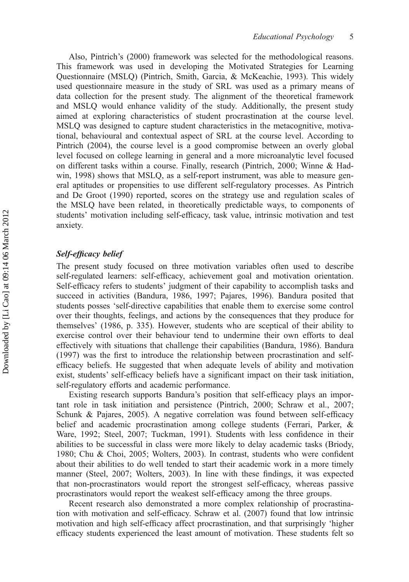Also, Pintrich's (2000) framework was selected for the methodological reasons. This framework was used in developing the Motivated Strategies for Learning Questionnaire (MSLQ) (Pintrich, Smith, Garcia, & McKeachie, 1993). This widely used questionnaire measure in the study of SRL was used as a primary means of data collection for the present study. The alignment of the theoretical framework and MSLQ would enhance validity of the study. Additionally, the present study aimed at exploring characteristics of student procrastination at the course level. MSLQ was designed to capture student characteristics in the metacognitive, motivational, behavioural and contextual aspect of SRL at the course level. According to Pintrich (2004), the course level is a good compromise between an overly global level focused on college learning in general and a more microanalytic level focused on different tasks within a course. Finally, research (Pintrich, 2000; Winne & Hadwin, 1998) shows that MSLQ, as a self-report instrument, was able to measure general aptitudes or propensities to use different self-regulatory processes. As Pintrich and De Groot (1990) reported, scores on the strategy use and regulation scales of the MSLQ have been related, in theoretically predictable ways, to components of students' motivation including self-efficacy, task value, intrinsic motivation and test anxiety.

# Self-efficacy belief

The present study focused on three motivation variables often used to describe self-regulated learners: self-efficacy, achievement goal and motivation orientation. Self-efficacy refers to students' judgment of their capability to accomplish tasks and succeed in activities (Bandura, 1986, 1997; Pajares, 1996). Bandura posited that students posses 'self-directive capabilities that enable them to exercise some control over their thoughts, feelings, and actions by the consequences that they produce for themselves' (1986, p. 335). However, students who are sceptical of their ability to exercise control over their behaviour tend to undermine their own efforts to deal effectively with situations that challenge their capabilities (Bandura, 1986). Bandura (1997) was the first to introduce the relationship between procrastination and selfefficacy beliefs. He suggested that when adequate levels of ability and motivation exist, students' self-efficacy beliefs have a significant impact on their task initiation, self-regulatory efforts and academic performance.

Existing research supports Bandura's position that self-efficacy plays an important role in task initiation and persistence (Pintrich, 2000; Schraw et al., 2007; Schunk & Pajares, 2005). A negative correlation was found between self-efficacy belief and academic procrastination among college students (Ferrari, Parker, & Ware, 1992; Steel, 2007; Tuckman, 1991). Students with less confidence in their abilities to be successful in class were more likely to delay academic tasks (Briody, 1980; Chu & Choi, 2005; Wolters, 2003). In contrast, students who were confident about their abilities to do well tended to start their academic work in a more timely manner (Steel, 2007; Wolters, 2003). In line with these findings, it was expected that non-procrastinators would report the strongest self-efficacy, whereas passive procrastinators would report the weakest self-efficacy among the three groups.

Recent research also demonstrated a more complex relationship of procrastination with motivation and self-efficacy. Schraw et al. (2007) found that low intrinsic motivation and high self-efficacy affect procrastination, and that surprisingly 'higher efficacy students experienced the least amount of motivation. These students felt so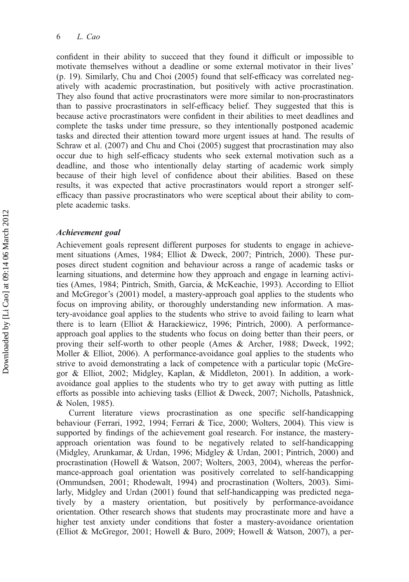confident in their ability to succeed that they found it difficult or impossible to motivate themselves without a deadline or some external motivator in their lives' (p. 19). Similarly, Chu and Choi (2005) found that self-efficacy was correlated negatively with academic procrastination, but positively with active procrastination. They also found that active procrastinators were more similar to non-procrastinators than to passive procrastinators in self-efficacy belief. They suggested that this is because active procrastinators were confident in their abilities to meet deadlines and complete the tasks under time pressure, so they intentionally postponed academic tasks and directed their attention toward more urgent issues at hand. The results of Schraw et al. (2007) and Chu and Choi (2005) suggest that procrastination may also occur due to high self-efficacy students who seek external motivation such as a deadline, and those who intentionally delay starting of academic work simply because of their high level of confidence about their abilities. Based on these results, it was expected that active procrastinators would report a stronger selfefficacy than passive procrastinators who were sceptical about their ability to complete academic tasks.

# Achievement goal

Achievement goals represent different purposes for students to engage in achievement situations (Ames, 1984; Elliot & Dweck, 2007; Pintrich, 2000). These purposes direct student cognition and behaviour across a range of academic tasks or learning situations, and determine how they approach and engage in learning activities (Ames, 1984; Pintrich, Smith, Garcia, & McKeachie, 1993). According to Elliot and McGregor's (2001) model, a mastery-approach goal applies to the students who focus on improving ability, or thoroughly understanding new information. A mastery-avoidance goal applies to the students who strive to avoid failing to learn what there is to learn (Elliot & Harackiewicz, 1996; Pintrich, 2000). A performanceapproach goal applies to the students who focus on doing better than their peers, or proving their self-worth to other people (Ames & Archer, 1988; Dweck, 1992; Moller  $\&$  Elliot, 2006). A performance-avoidance goal applies to the students who strive to avoid demonstrating a lack of competence with a particular topic (McGregor & Elliot, 2002; Midgley, Kaplan, & Middleton, 2001). In addition, a workavoidance goal applies to the students who try to get away with putting as little efforts as possible into achieving tasks (Elliot & Dweck, 2007; Nicholls, Patashnick, & Nolen, 1985).

Current literature views procrastination as one specific self-handicapping behaviour (Ferrari, 1992, 1994; Ferrari & Tice, 2000; Wolters, 2004). This view is supported by findings of the achievement goal research. For instance, the masteryapproach orientation was found to be negatively related to self-handicapping (Midgley, Arunkamar, & Urdan, 1996; Midgley & Urdan, 2001; Pintrich, 2000) and procrastination (Howell & Watson, 2007; Wolters, 2003, 2004), whereas the performance-approach goal orientation was positively correlated to self-handicapping (Ommundsen, 2001; Rhodewalt, 1994) and procrastination (Wolters, 2003). Similarly, Midgley and Urdan (2001) found that self-handicapping was predicted negatively by a mastery orientation, but positively by performance-avoidance orientation. Other research shows that students may procrastinate more and have a higher test anxiety under conditions that foster a mastery-avoidance orientation (Elliot & McGregor, 2001; Howell & Buro, 2009; Howell & Watson, 2007), a per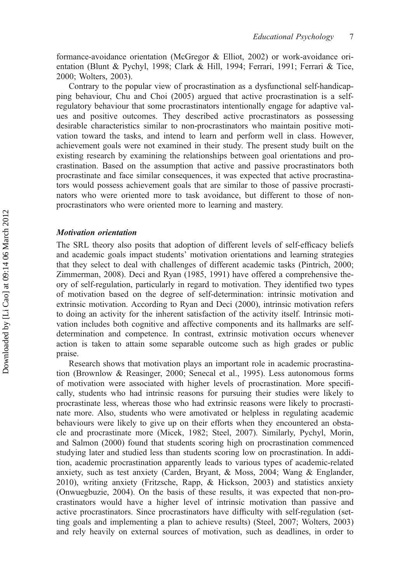formance-avoidance orientation (McGregor & Elliot, 2002) or work-avoidance orientation (Blunt & Pychyl, 1998; Clark & Hill, 1994; Ferrari, 1991; Ferrari & Tice, 2000; Wolters, 2003).

Contrary to the popular view of procrastination as a dysfunctional self-handicapping behaviour, Chu and Choi (2005) argued that active procrastination is a selfregulatory behaviour that some procrastinators intentionally engage for adaptive values and positive outcomes. They described active procrastinators as possessing desirable characteristics similar to non-procrastinators who maintain positive motivation toward the tasks, and intend to learn and perform well in class. However, achievement goals were not examined in their study. The present study built on the existing research by examining the relationships between goal orientations and procrastination. Based on the assumption that active and passive procrastinators both procrastinate and face similar consequences, it was expected that active procrastinators would possess achievement goals that are similar to those of passive procrastinators who were oriented more to task avoidance, but different to those of nonprocrastinators who were oriented more to learning and mastery.

#### Motivation orientation

The SRL theory also posits that adoption of different levels of self-efficacy beliefs and academic goals impact students' motivation orientations and learning strategies that they select to deal with challenges of different academic tasks (Pintrich, 2000; Zimmerman, 2008). Deci and Ryan (1985, 1991) have offered a comprehensive theory of self-regulation, particularly in regard to motivation. They identified two types of motivation based on the degree of self-determination: intrinsic motivation and extrinsic motivation. According to Ryan and Deci (2000), intrinsic motivation refers to doing an activity for the inherent satisfaction of the activity itself. Intrinsic motivation includes both cognitive and affective components and its hallmarks are selfdetermination and competence. In contrast, extrinsic motivation occurs whenever action is taken to attain some separable outcome such as high grades or public praise.

Research shows that motivation plays an important role in academic procrastination (Brownlow & Reasinger, 2000; Senecal et al., 1995). Less autonomous forms of motivation were associated with higher levels of procrastination. More specifically, students who had intrinsic reasons for pursuing their studies were likely to procrastinate less, whereas those who had extrinsic reasons were likely to procrastinate more. Also, students who were amotivated or helpless in regulating academic behaviours were likely to give up on their efforts when they encountered an obstacle and procrastinate more (Micek, 1982; Steel, 2007). Similarly, Pychyl, Morin, and Salmon (2000) found that students scoring high on procrastination commenced studying later and studied less than students scoring low on procrastination. In addition, academic procrastination apparently leads to various types of academic-related anxiety, such as test anxiety (Carden, Bryant, & Moss, 2004; Wang & Englander, 2010), writing anxiety (Fritzsche, Rapp, & Hickson, 2003) and statistics anxiety (Onwuegbuzie, 2004). On the basis of these results, it was expected that non-procrastinators would have a higher level of intrinsic motivation than passive and active procrastinators. Since procrastinators have difficulty with self-regulation (setting goals and implementing a plan to achieve results) (Steel, 2007; Wolters, 2003) and rely heavily on external sources of motivation, such as deadlines, in order to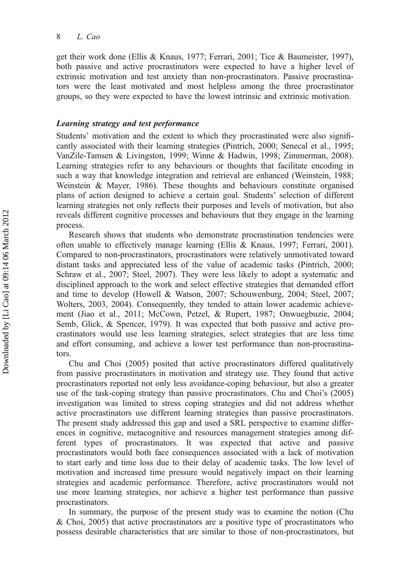get their work done (Ellis & Knaus, 1977; Ferrari, 2001; Tice & Baumeister, 1997), both passive and active procrastinators were expected to have a higher level of extrinsic motivation and test anxiety than non-procrastinators. Passive procrastinators were the least motivated and most helpless among the three procrastinator groups, so they were expected to have the lowest intrinsic and extrinsic motivation.

#### Learning strategy and test performance

Students' motivation and the extent to which they procrastinated were also significantly associated with their learning strategies (Pintrich, 2000; Senecal et al., 1995; VanZile-Tamsen & Livingston, 1999; Winne & Hadwin, 1998; Zimmerman, 2008). Learning strategies refer to any behaviours or thoughts that facilitate encoding in such a way that knowledge integration and retrieval are enhanced (Weinstein, 1988; Weinstein & Mayer, 1986). These thoughts and behaviours constitute organised plans of action designed to achieve a certain goal. Students' selection of different learning strategies not only reflects their purposes and levels of motivation, but also reveals different cognitive processes and behaviours that they engage in the learning process.

Research shows that students who demonstrate procrastination tendencies were often unable to effectively manage learning (Ellis & Knaus, 1997; Ferrari, 2001). Compared to non-procrastinators, procrastinators were relatively unmotivated toward distant tasks and appreciated less of the value of academic tasks (Pintrich, 2000; Schraw et al., 2007; Steel, 2007). They were less likely to adopt a systematic and disciplined approach to the work and select effective strategies that demanded effort and time to develop (Howell & Watson, 2007; Schouwenburg, 2004; Steel, 2007; Wolters, 2003, 2004). Consequently, they tended to attain lower academic achievement (Jiao et al., 2011; McCown, Petzel, & Rupert, 1987; Onwuegbuzie, 2004; Semb, Glick, & Spencer, 1979). It was expected that both passive and active procrastinators would use less learning strategies, select strategies that are less time and effort consuming, and achieve a lower test performance than non-procrastinators.

Chu and Choi (2005) posited that active procrastinators differed qualitatively from passive procrastinators in motivation and strategy use. They found that active procrastinators reported not only less avoidance-coping behaviour, but also a greater use of the task-coping strategy than passive procrastinators. Chu and Choi's (2005) investigation was limited to stress coping strategies and did not address whether active procrastinators use different learning strategies than passive procrastinators. The present study addressed this gap and used a SRL perspective to examine differences in cognitive, metacognitive and resources management strategies among different types of procrastinators. It was expected that active and passive procrastinators would both face consequences associated with a lack of motivation to start early and time loss due to their delay of academic tasks. The low level of motivation and increased time pressure would negatively impact on their learning strategies and academic performance. Therefore, active procrastinators would not use more learning strategies, nor achieve a higher test performance than passive procrastinators.

In summary, the purpose of the present study was to examine the notion (Chu & Choi, 2005) that active procrastinators are a positive type of procrastinators who possess desirable characteristics that are similar to those of non-procrastinators, but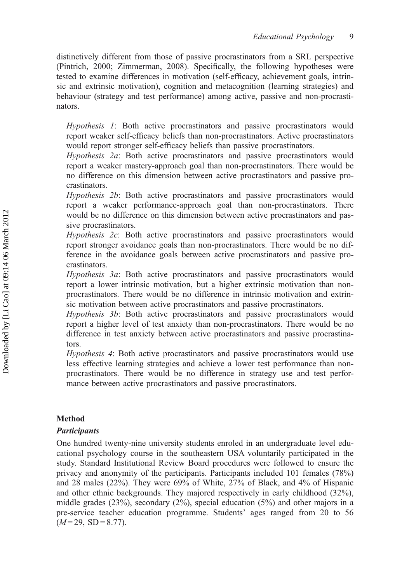distinctively different from those of passive procrastinators from a SRL perspective (Pintrich, 2000; Zimmerman, 2008). Specifically, the following hypotheses were tested to examine differences in motivation (self-efficacy, achievement goals, intrinsic and extrinsic motivation), cognition and metacognition (learning strategies) and behaviour (strategy and test performance) among active, passive and non-procrastinators.

Hypothesis 1: Both active procrastinators and passive procrastinators would report weaker self-efficacy beliefs than non-procrastinators. Active procrastinators would report stronger self-efficacy beliefs than passive procrastinators.

Hypothesis 2a: Both active procrastinators and passive procrastinators would report a weaker mastery-approach goal than non-procrastinators. There would be no difference on this dimension between active procrastinators and passive procrastinators.

Hypothesis 2b: Both active procrastinators and passive procrastinators would report a weaker performance-approach goal than non-procrastinators. There would be no difference on this dimension between active procrastinators and passive procrastinators.

Hypothesis 2c: Both active procrastinators and passive procrastinators would report stronger avoidance goals than non-procrastinators. There would be no difference in the avoidance goals between active procrastinators and passive procrastinators.

Hypothesis 3a: Both active procrastinators and passive procrastinators would report a lower intrinsic motivation, but a higher extrinsic motivation than nonprocrastinators. There would be no difference in intrinsic motivation and extrinsic motivation between active procrastinators and passive procrastinators.

Hypothesis 3b: Both active procrastinators and passive procrastinators would report a higher level of test anxiety than non-procrastinators. There would be no difference in test anxiety between active procrastinators and passive procrastinators.

Hypothesis 4: Both active procrastinators and passive procrastinators would use less effective learning strategies and achieve a lower test performance than nonprocrastinators. There would be no difference in strategy use and test performance between active procrastinators and passive procrastinators.

# Method

# **Participants**

One hundred twenty-nine university students enroled in an undergraduate level educational psychology course in the southeastern USA voluntarily participated in the study. Standard Institutional Review Board procedures were followed to ensure the privacy and anonymity of the participants. Participants included 101 females (78%) and 28 males (22%). They were 69% of White, 27% of Black, and 4% of Hispanic and other ethnic backgrounds. They majored respectively in early childhood (32%), middle grades  $(23\%)$ , secondary  $(2\%)$ , special education  $(5\%)$  and other majors in a pre-service teacher education programme. Students' ages ranged from 20 to 56  $(M=29, SD=8.77).$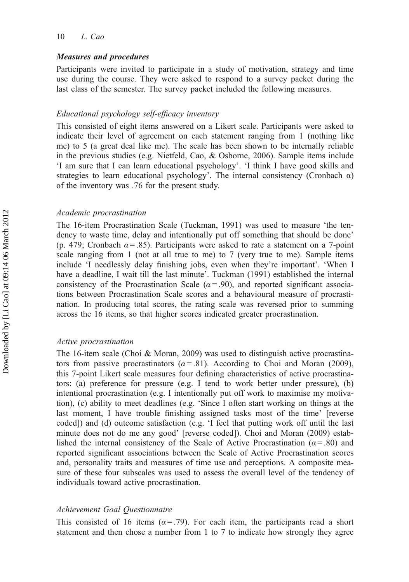## Measures and procedures

Participants were invited to participate in a study of motivation, strategy and time use during the course. They were asked to respond to a survey packet during the last class of the semester. The survey packet included the following measures.

#### Educational psychology self-efficacy inventory

This consisted of eight items answered on a Likert scale. Participants were asked to indicate their level of agreement on each statement ranging from 1 (nothing like me) to 5 (a great deal like me). The scale has been shown to be internally reliable in the previous studies (e.g. Nietfeld, Cao, & Osborne, 2006). Sample items include 'I am sure that I can learn educational psychology'. 'I think I have good skills and strategies to learn educational psychology'. The internal consistency (Cronbach  $\alpha$ ) of the inventory was .76 for the present study.

### Academic procrastination

The 16-item Procrastination Scale (Tuckman, 1991) was used to measure 'the tendency to waste time, delay and intentionally put off something that should be done' (p. 479; Cronbach  $\alpha$  = .85). Participants were asked to rate a statement on a 7-point scale ranging from 1 (not at all true to me) to 7 (very true to me). Sample items include 'I needlessly delay finishing jobs, even when they're important'. 'When I have a deadline, I wait till the last minute'. Tuckman (1991) established the internal consistency of the Procrastination Scale ( $\alpha$  = .90), and reported significant associations between Procrastination Scale scores and a behavioural measure of procrastination. In producing total scores, the rating scale was reversed prior to summing across the 16 items, so that higher scores indicated greater procrastination.

#### Active procrastination

The 16-item scale (Choi & Moran, 2009) was used to distinguish active procrastinators from passive procrastinators ( $\alpha$  = .81). According to Choi and Moran (2009), this 7-point Likert scale measures four defining characteristics of active procrastinators: (a) preference for pressure (e.g. I tend to work better under pressure), (b) intentional procrastination (e.g. I intentionally put off work to maximise my motivation), (c) ability to meet deadlines (e.g. 'Since I often start working on things at the last moment, I have trouble finishing assigned tasks most of the time' [reverse coded]) and (d) outcome satisfaction (e.g. 'I feel that putting work off until the last minute does not do me any good' [reverse coded]). Choi and Moran (2009) established the internal consistency of the Scale of Active Procrastination ( $\alpha$  = .80) and reported significant associations between the Scale of Active Procrastination scores and, personality traits and measures of time use and perceptions. A composite measure of these four subscales was used to assess the overall level of the tendency of individuals toward active procrastination.

#### Achievement Goal Questionnaire

This consisted of 16 items ( $\alpha$ = .79). For each item, the participants read a short statement and then chose a number from 1 to 7 to indicate how strongly they agree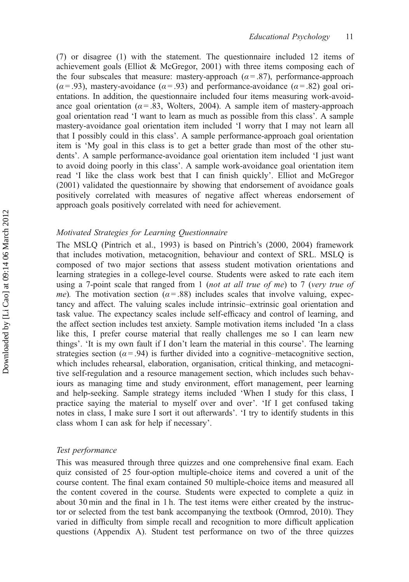(7) or disagree (1) with the statement. The questionnaire included 12 items of achievement goals (Elliot & McGregor, 2001) with three items composing each of the four subscales that measure: mastery-approach ( $\alpha$  = .87), performance-approach  $(\alpha = .93)$ , mastery-avoidance  $(\alpha = .93)$  and performance-avoidance  $(\alpha = .82)$  goal orientations. In addition, the questionnaire included four items measuring work-avoidance goal orientation ( $\alpha$  = .83, Wolters, 2004). A sample item of mastery-approach goal orientation read 'I want to learn as much as possible from this class'. A sample mastery-avoidance goal orientation item included 'I worry that I may not learn all that I possibly could in this class'. A sample performance-approach goal orientation item is 'My goal in this class is to get a better grade than most of the other students'. A sample performance-avoidance goal orientation item included 'I just want to avoid doing poorly in this class'. A sample work-avoidance goal orientation item read 'I like the class work best that I can finish quickly'. Elliot and McGregor (2001) validated the questionnaire by showing that endorsement of avoidance goals positively correlated with measures of negative affect whereas endorsement of approach goals positively correlated with need for achievement.

# Motivated Strategies for Learning Questionnaire

The MSLQ (Pintrich et al., 1993) is based on Pintrich's (2000, 2004) framework that includes motivation, metacognition, behaviour and context of SRL. MSLQ is composed of two major sections that assess student motivation orientations and learning strategies in a college-level course. Students were asked to rate each item using a 7-point scale that ranged from 1 (not at all true of me) to 7 (very true of me). The motivation section ( $\alpha$  = .88) includes scales that involve valuing, expectancy and affect. The valuing scales include intrinsic–extrinsic goal orientation and task value. The expectancy scales include self-efficacy and control of learning, and the affect section includes test anxiety. Sample motivation items included 'In a class like this, I prefer course material that really challenges me so I can learn new things'. 'It is my own fault if I don't learn the material in this course'. The learning strategies section ( $\alpha$ =.94) is further divided into a cognitive–metacognitive section, which includes rehearsal, elaboration, organisation, critical thinking, and metacognitive self-regulation and a resource management section, which includes such behaviours as managing time and study environment, effort management, peer learning and help-seeking. Sample strategy items included 'When I study for this class, I practice saying the material to myself over and over'. 'If I get confused taking notes in class, I make sure I sort it out afterwards'. 'I try to identify students in this class whom I can ask for help if necessary'.

# Test performance

This was measured through three quizzes and one comprehensive final exam. Each quiz consisted of 25 four-option multiple-choice items and covered a unit of the course content. The final exam contained 50 multiple-choice items and measured all the content covered in the course. Students were expected to complete a quiz in about 30 min and the final in 1 h. The test items were either created by the instructor or selected from the test bank accompanying the textbook (Ormrod, 2010). They varied in difficulty from simple recall and recognition to more difficult application questions (Appendix A). Student test performance on two of the three quizzes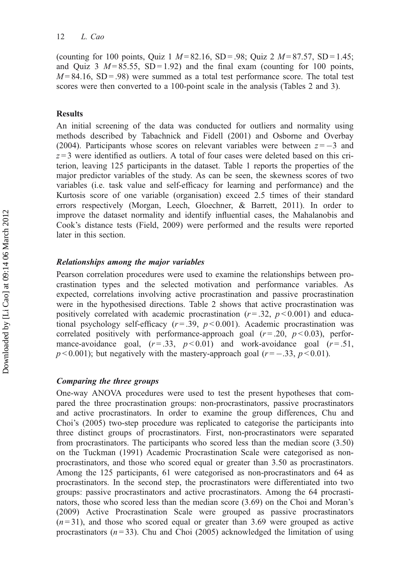(counting for 100 points, Quiz 1  $M = 82.16$ , SD = .98; Quiz 2  $M = 87.57$ , SD = 1.45; and Quiz 3  $M = 85.55$ , SD = 1.92) and the final exam (counting for 100 points,  $M = 84.16$ , SD = .98) were summed as a total test performance score. The total test scores were then converted to a 100-point scale in the analysis (Tables 2 and 3).

#### Results

An initial screening of the data was conducted for outliers and normality using methods described by Tabachnick and Fidell (2001) and Osborne and Overbay (2004). Participants whose scores on relevant variables were between  $z = -3$  and  $z = 3$  were identified as outliers. A total of four cases were deleted based on this criterion, leaving 125 participants in the dataset. Table 1 reports the properties of the major predictor variables of the study. As can be seen, the skewness scores of two variables (i.e. task value and self-efficacy for learning and performance) and the Kurtosis score of one variable (organisation) exceed 2.5 times of their standard errors respectively (Morgan, Leech, Gloechner, & Barrett, 2011). In order to improve the dataset normality and identify influential cases, the Mahalanobis and Cook's distance tests (Field, 2009) were performed and the results were reported later in this section.

#### Relationships among the major variables

Pearson correlation procedures were used to examine the relationships between procrastination types and the selected motivation and performance variables. As expected, correlations involving active procrastination and passive procrastination were in the hypothesised directions. Table 2 shows that active procrastination was positively correlated with academic procrastination  $(r=.32, p<0.001)$  and educational psychology self-efficacy  $(r=.39, p<0.001)$ . Academic procrastination was correlated positively with performance-approach goal  $(r=.20, p<0.03)$ , performance-avoidance goal,  $(r=.33, p<0.01)$  and work-avoidance goal  $(r=.51,$  $p < 0.001$ ); but negatively with the mastery-approach goal ( $r = -.33$ ,  $p < 0.01$ ).

# Comparing the three groups

One-way ANOVA procedures were used to test the present hypotheses that compared the three procrastination groups: non-procrastinators, passive procrastinators and active procrastinators. In order to examine the group differences, Chu and Choi's (2005) two-step procedure was replicated to categorise the participants into three distinct groups of procrastinators. First, non-procrastinators were separated from procrastinators. The participants who scored less than the median score (3.50) on the Tuckman (1991) Academic Procrastination Scale were categorised as nonprocrastinators, and those who scored equal or greater than 3.50 as procrastinators. Among the 125 participants, 61 were categorised as non-procrastinators and 64 as procrastinators. In the second step, the procrastinators were differentiated into two groups: passive procrastinators and active procrastinators. Among the 64 procrastinators, those who scored less than the median score (3.69) on the Choi and Moran's (2009) Active Procrastination Scale were grouped as passive procrastinators  $(n=31)$ , and those who scored equal or greater than 3.69 were grouped as active procrastinators ( $n = 33$ ). Chu and Choi (2005) acknowledged the limitation of using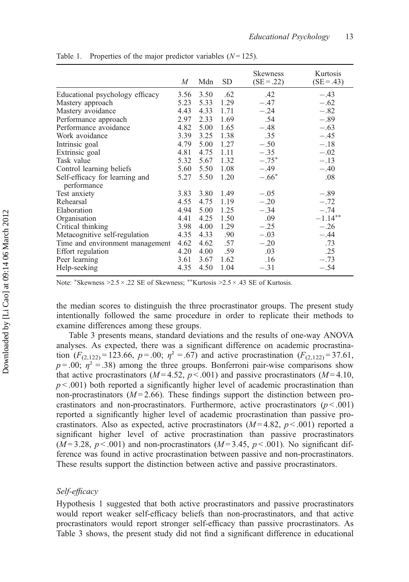|                                               | M    | Mdn  | SD.  | <b>Skewness</b><br>$(SE = .22)$ | Kurtosis<br>$(SE = .43)$ |
|-----------------------------------------------|------|------|------|---------------------------------|--------------------------|
| Educational psychology efficacy               | 3.56 | 3.50 | .62  | .42                             | $-.43$                   |
| Mastery approach                              | 5.23 | 5.33 | 1.29 | $-.47$                          | $-.62$                   |
| Mastery avoidance                             | 4.43 | 4.33 | 1.71 | $-.24$                          | $-.82$                   |
| Performance approach                          | 2.97 | 2.33 | 1.69 | .54                             | $-.89$                   |
| Performance avoidance                         | 4.82 | 5.00 | 1.65 | $-.48$                          | $-.63$                   |
| Work avoidance                                | 3.39 | 3.25 | 1.38 | .35                             | $-.45$                   |
| Intrinsic goal                                | 4.79 | 5.00 | 1.27 | $-.50$                          | $-.18$                   |
| Extrinsic goal                                | 4.81 | 4.75 | 1.11 | $-.35$                          | $-.02$                   |
| Task value                                    | 5.32 | 5.67 | 1.32 | $-.75*$                         | $-.13$                   |
| Control learning beliefs                      | 5.60 | 5.50 | 1.08 | $-.49$                          | $-.40$                   |
| Self-efficacy for learning and<br>performance | 5.27 | 5.50 | 1.20 | $-.66*$                         | .08                      |
| Test anxiety                                  | 3.83 | 3.80 | 1.49 | $-.05$                          | $-.89$                   |
| Rehearsal                                     | 4.55 | 4.75 | 1.19 | $-.20$                          | $-.72$                   |
| Elaboration                                   | 4.94 | 5.00 | 1.25 | $-.34$                          | $-.74$                   |
| Organisation                                  | 4.41 | 4.25 | 1.50 | .09                             | $-1.14***$               |
| Critical thinking                             | 3.98 | 4.00 | 1.29 | $-.25$                          | $-.26$                   |
| Metacognitive self-regulation                 | 4.35 | 4.33 | .90  | $-.03$                          | $-.44$                   |
| Time and environment management               | 4.62 | 4.62 | .57  | $-.20$                          | .73                      |
| Effort regulation                             | 4.20 | 4.00 | .59  | .03                             | .25                      |
| Peer learning                                 | 3.61 | 3.67 | 1.62 | .16                             | $-.73$                   |
| Help-seeking                                  | 4.35 | 4.50 | 1.04 | $-.31$                          | $-.54$                   |

Table 1. Properties of the major predictor variables  $(N = 125)$ .

Note: \*Skewness > 2.5 × .22 SE of Skewness; \*\*Kurtosis > 2.5 × .43 SE of Kurtosis.

the median scores to distinguish the three procrastinator groups. The present study intentionally followed the same procedure in order to replicate their methods to examine differences among these groups.

Table 3 presents means, standard deviations and the results of one-way ANOVA analyses. As expected, there was a significant difference on academic procrastination  $(F_{(2,122)} = 123.66, p = .00; \eta^2 = .67)$  and active procrastination  $(F_{(2,122)} = 37.61, p^2 = .67)$  $p = .00$ ;  $\eta^2 = .38$ ) among the three groups. Bonferroni pair-wise comparisons show that active procrastinators  $(M=4.52, p<.001)$  and passive procrastinators  $(M=4.10, p<.001)$  $p < .001$ ) both reported a significantly higher level of academic procrastination than non-procrastinators  $(M=2.66)$ . These findings support the distinction between procrastinators and non-procrastinators. Furthermore, active procrastinators  $(p < .001)$ reported a significantly higher level of academic procrastination than passive procrastinators. Also as expected, active procrastinators  $(M=4.82, p<.001)$  reported a significant higher level of active procrastination than passive procrastinators  $(M=3.28, p<0.01)$  and non-procrastinators  $(M=3.45, p<0.01)$ . No significant difference was found in active procrastination between passive and non-procrastinators. These results support the distinction between active and passive procrastinators.

# Self-efficacy

Hypothesis 1 suggested that both active procrastinators and passive procrastinators would report weaker self-efficacy beliefs than non-procrastinators, and that active procrastinators would report stronger self-efficacy than passive procrastinators. As Table 3 shows, the present study did not find a significant difference in educational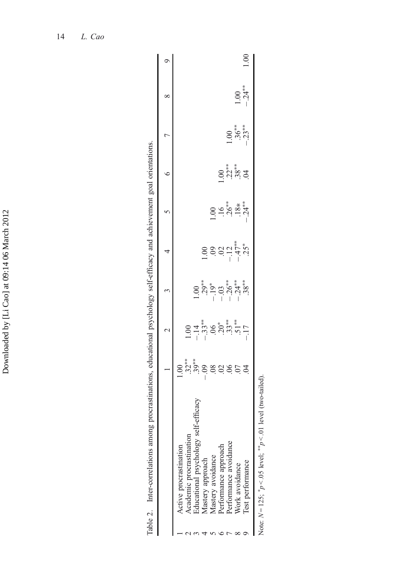|                                                          | $\mathbf 2$                                                                                                                                                                                                                                                       | $\mathfrak{c}$                                                       | 4                                                 |                             |        |                             | ∞                 | σ    |
|----------------------------------------------------------|-------------------------------------------------------------------------------------------------------------------------------------------------------------------------------------------------------------------------------------------------------------------|----------------------------------------------------------------------|---------------------------------------------------|-----------------------------|--------|-----------------------------|-------------------|------|
| Active procrastination                                   |                                                                                                                                                                                                                                                                   |                                                                      |                                                   |                             |        |                             |                   |      |
| Academic procrastination                                 |                                                                                                                                                                                                                                                                   |                                                                      |                                                   |                             |        |                             |                   |      |
| Educational psychology self-e                            | $1.3$ $\overset{+}{\phantom{1}0}$ $\overset{+}{\phantom{1}0}$ $\overset{+}{\phantom{1}0}$ $\overset{+}{\phantom{1}0}$ $\overset{+}{\phantom{1}0}$ $\overset{+}{\phantom{1}0}$ $\overset{+}{\phantom{1}0}$ $\overset{+}{\phantom{1}0}$ $\overset{+}{\phantom{1}0}$ |                                                                      |                                                   |                             |        |                             |                   |      |
| Mastery approach                                         |                                                                                                                                                                                                                                                                   |                                                                      |                                                   |                             |        |                             |                   |      |
| Mastery avoidance                                        |                                                                                                                                                                                                                                                                   | $1.00$<br>$2.9$ $*$<br>$-1.9$ $*$<br>$-3.6$ $*$<br>$*$<br>$-1.3$ $*$ | $1.00$<br>$3.02$<br>$-1.47$<br>$-1.55$<br>$-1.55$ |                             |        |                             |                   |      |
| Performance approach                                     |                                                                                                                                                                                                                                                                   |                                                                      |                                                   |                             |        |                             |                   |      |
| Performance avoidance                                    |                                                                                                                                                                                                                                                                   |                                                                      |                                                   |                             |        |                             |                   |      |
| Nork avoidance                                           |                                                                                                                                                                                                                                                                   |                                                                      |                                                   | $8 - 18 + 12$<br>$-18 + 12$ | 8.8884 | $1.00$<br>$36**$<br>$-33**$ | $1.00$<br>$-24**$ |      |
| Iest performance                                         |                                                                                                                                                                                                                                                                   |                                                                      |                                                   |                             |        |                             |                   | 00.1 |
| Note: $N=125$ ; ${}^*p < .05$ level; ${}^{**}p < .01$ le |                                                                                                                                                                                                                                                                   |                                                                      |                                                   |                             |        |                             |                   |      |

Table 2. Inter-correlations among procrastinations, educational psychology self-efficacy and achievement goal orientations.

Table 2. Inter-correlations among procrastinations, educational psychology self-efficacy and achievement goal orientations.

| ı<br>۱<br>Ï |
|-------------|
| þ<br>I      |
| ı           |
| l<br>þ<br>I |
| ı<br>X      |
| ı<br>I      |
| î<br>l      |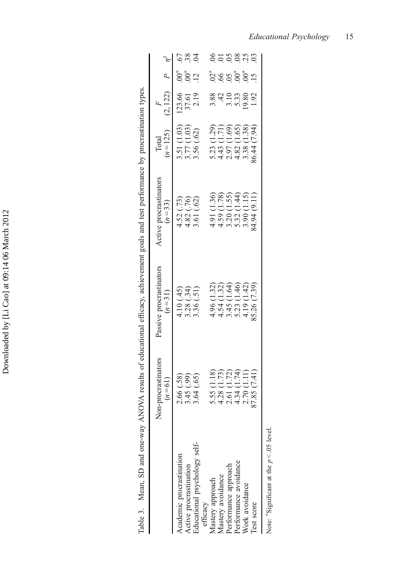|                                             | Non-procrastinators                                      | Passive procrastinators                                                 | Active procrastinators                                                  | Total                                                                   | $\frac{F}{(2,122)}$     |              |
|---------------------------------------------|----------------------------------------------------------|-------------------------------------------------------------------------|-------------------------------------------------------------------------|-------------------------------------------------------------------------|-------------------------|--------------|
|                                             | $(n=61)$                                                 | $(n=31)$                                                                | $(n=33)$                                                                | $(n = 125)$                                                             |                         | $P$ $\eta^2$ |
| Academic procrastination                    |                                                          |                                                                         |                                                                         |                                                                         |                         |              |
| Active procrastination                      |                                                          |                                                                         |                                                                         |                                                                         | 123.66<br>37.61<br>2.19 | $0^*_{0.2}$  |
| ducational psychology self-<br>efficacy     | 2.66 (.58)<br>3.45 (.99)<br>3.64 (.65)                   | 4.10 (.45)<br>3.28 (.34)<br>3.36 (.51)                                  | 4.52 (.73)<br>4.82 (.76)<br>3.61 (.62)                                  | 3.51 (1.03)<br>3.77 (1.03)<br>3.56 (.62)                                |                         |              |
| Mastery approach                            |                                                          |                                                                         |                                                                         |                                                                         |                         |              |
| Mastery avoidance                           |                                                          |                                                                         |                                                                         |                                                                         |                         |              |
| Performance approach                        | 5.55 (1.18)<br>4.28 (1.73)<br>2.61 (1.72)<br>4.34 (1.74) | 4.96 (1.32)<br>4.54 (1.32)<br>5.45 (1.46)<br>5.23 (1.46)<br>4.19 (1.42) | 4.91 (1.36)<br>4.59 (1.78)<br>5.32 (1.44)<br>5.32 (1.44)<br>3.30 (1.15) | 5.23 (1.29)<br>4.43 (1.71)<br>2.97 (1.69)<br>4.82 (1.65)<br>3.38 (1.38) | 38425382                | ؿؙ؋ؿ؋ٞ؋۫     |
| Performance avoidance                       |                                                          |                                                                         |                                                                         |                                                                         |                         |              |
| Nork avoidance                              | 2.70(1.11)                                               |                                                                         |                                                                         |                                                                         |                         |              |
| Test score                                  | 87.85 (7.41)                                             | 85.26 (7.39)                                                            | 84.94 (9.11)                                                            | 86.44 (7.94)                                                            |                         |              |
| Note: "Significant at the $p < 0.05$ level. |                                                          |                                                                         |                                                                         |                                                                         |                         |              |

Table 3. Mean, SD and one-way ANOVA results of educational efficacy, achievement goals and test performance by procrastination types. Table 3. Mean, SD and one-way ANOVA results of educational efficacy, achievement goals and test performance by procrastination types.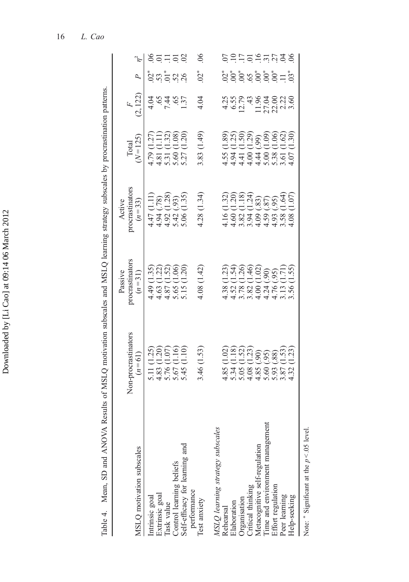| Table 4. Mean, SD and ANOVA                                               | Results of MSLQ motivation subscales and MSLQ learning strategy subscales by procrastination patterns. |                                                                                                               |                                       |                                                          |                  |             |                  |
|---------------------------------------------------------------------------|--------------------------------------------------------------------------------------------------------|---------------------------------------------------------------------------------------------------------------|---------------------------------------|----------------------------------------------------------|------------------|-------------|------------------|
| MSLQ motivation subscales                                                 | Non-procrastinators<br>$(n=61)$                                                                        | procrastinators<br>Passive<br>$(n=31)$                                                                        | procrastinators<br>$(n=33)$<br>Active | $(N = 125)$<br>Total                                     | (2, 122)         |             |                  |
| Extrinsic goal<br>Intrinsic goal                                          | (1.25)<br>$138800$<br>$138600$<br>$13600$                                                              | 4.49 (1.35)<br>4.63 (1.22)<br>4.87 (1.52)<br>5.65 (1.06)<br>5.15 (1.20)                                       | (1.11)<br>$\frac{(78)}{1.28}$         | (1.27)<br>$4.79$<br>$4.81$<br>$5.31$<br>$5.60$<br>$5.27$ | 4.04             |             | ganag            |
| Task value                                                                | asan<br>Genes<br>Senti                                                                                 |                                                                                                               |                                       | (1.1)<br>1.32)<br>1<br>(1.08)                            | $6481$<br>$6481$ |             |                  |
| Control learning beliefs<br>Self-efficacy for learning and<br>performance |                                                                                                        |                                                                                                               | $(93)$<br>$(1.35)$                    | (1.20)                                                   |                  |             |                  |
| Test anxiety                                                              | 3.46(1.53)                                                                                             | 4.08(1.42)                                                                                                    | 4.28(1.34)                            | 3.83 (1.49)                                              | 4.04             | $02*$       | 06               |
| MSLQ learning strategy subscales<br>Rehearsal                             |                                                                                                        |                                                                                                               | (1.32)                                | (1.89)                                                   |                  |             |                  |
| Elaboration                                                               | 036036<br>03603668<br>000036<br>8<br>8 3 4 5 8 8 9 9 8 9 9<br>8 4 5 8 8 9 9 8 9 9                      | ကြံမှု<br>မြို့ပုံမှုမျှ<br>မြို့ပြင်<br>$438$<br>$452$<br>$438$<br>$443$<br>$444$<br>$450$<br>$443$<br>$450$ |                                       |                                                          |                  | ؿؙ؋ٷۊ۫؋ٷٚڟڎ | <u>SHHOHUUAS</u> |
|                                                                           |                                                                                                        |                                                                                                               | 12034000                              | (2586)<br>1989<br>1989 1999                              |                  |             |                  |
| Organisation<br>Critical thinking                                         |                                                                                                        |                                                                                                               |                                       |                                                          |                  |             |                  |
| Metacognitive self-regulation                                             |                                                                                                        |                                                                                                               |                                       |                                                          |                  |             |                  |
| Time and environment management                                           |                                                                                                        | (06)                                                                                                          |                                       |                                                          |                  |             |                  |
| Effort regulation                                                         |                                                                                                        | (0.6)                                                                                                         |                                       |                                                          |                  |             |                  |
| Peer learning                                                             | $\frac{1.53}{1.23}$                                                                                    | (1.71)                                                                                                        | 1.64                                  | (1.62)                                                   |                  |             |                  |
| Help-seeking                                                              |                                                                                                        | (1.55)                                                                                                        | 1.07                                  | (1.30)                                                   |                  |             |                  |
|                                                                           |                                                                                                        |                                                                                                               |                                       |                                                          |                  |             |                  |

Note:  $*$  Significant at the  $p < 0.05$  level.  $p < 0.05$  level. Note:  $*$  Significant at the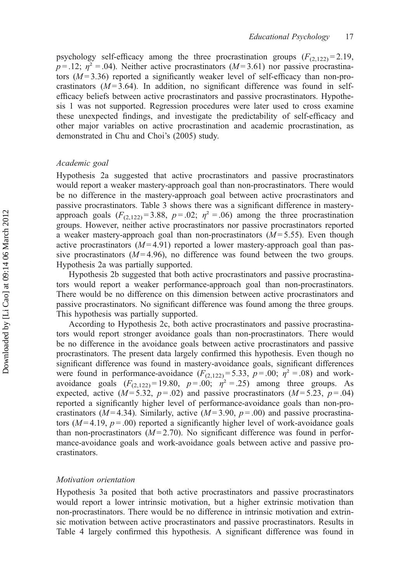psychology self-efficacy among the three procrastination groups  $(F_{(2,122)} = 2.19$ ,  $p = 0.12$ ;  $\eta^2 = 0.04$ ). Neither active procrastinators ( $M = 3.61$ ) nor passive procrastinators  $(M=3.36)$  reported a significantly weaker level of self-efficacy than non-procrastinators  $(M=3.64)$ . In addition, no significant difference was found in selfefficacy beliefs between active procrastinators and passive procrastinators. Hypothesis 1 was not supported. Regression procedures were later used to cross examine these unexpected findings, and investigate the predictability of self-efficacy and other major variables on active procrastination and academic procrastination, as demonstrated in Chu and Choi's (2005) study.

# Academic goal

Hypothesis 2a suggested that active procrastinators and passive procrastinators would report a weaker mastery-approach goal than non-procrastinators. There would be no difference in the mastery-approach goal between active procrastinators and passive procrastinators. Table 3 shows there was a significant difference in masteryapproach goals  $(F_{(2,122)}=3.88, p=.02; \eta^2=.06)$  among the three procrastination groups. However, neither active procrastinators nor passive procrastinators reported a weaker mastery-approach goal than non-procrastinators  $(M=5.55)$ . Even though active procrastinators  $(M=4.91)$  reported a lower mastery-approach goal than passive procrastinators  $(M=4.96)$ , no difference was found between the two groups. Hypothesis 2a was partially supported.

Hypothesis 2b suggested that both active procrastinators and passive procrastinators would report a weaker performance-approach goal than non-procrastinators. There would be no difference on this dimension between active procrastinators and passive procrastinators. No significant difference was found among the three groups. This hypothesis was partially supported.

According to Hypothesis 2c, both active procrastinators and passive procrastinators would report stronger avoidance goals than non-procrastinators. There would be no difference in the avoidance goals between active procrastinators and passive procrastinators. The present data largely confirmed this hypothesis. Even though no significant difference was found in mastery-avoidance goals, significant differences were found in performance-avoidance  $(F_{(2,122)} = 5.33, p = .00; \eta^2 = .08)$  and workavoidance goals  $(F_{(2,122)} = 19.80, p = .00; \eta^2 = .25)$  among three groups. As expected, active  $(M=5.32, p=.02)$  and passive procrastinators  $(M=5.23, p=.04)$ reported a significantly higher level of performance-avoidance goals than non-procrastinators ( $M = 4.34$ ). Similarly, active ( $M = 3.90$ ,  $p = .00$ ) and passive procrastinators ( $M=4.19$ ,  $p=.00$ ) reported a significantly higher level of work-avoidance goals than non-procrastinators  $(M=2.70)$ . No significant difference was found in performance-avoidance goals and work-avoidance goals between active and passive procrastinators.

#### Motivation orientation

Hypothesis 3a posited that both active procrastinators and passive procrastinators would report a lower intrinsic motivation, but a higher extrinsic motivation than non-procrastinators. There would be no difference in intrinsic motivation and extrinsic motivation between active procrastinators and passive procrastinators. Results in Table 4 largely confirmed this hypothesis. A significant difference was found in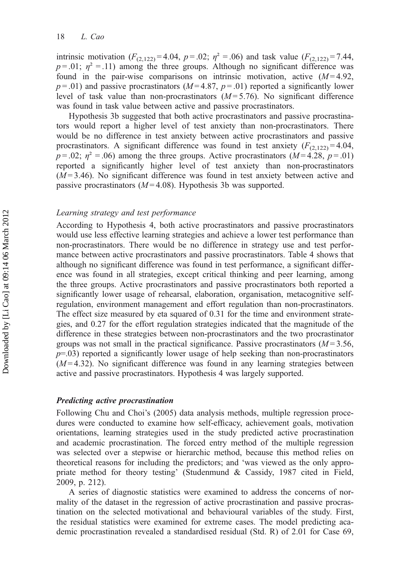intrinsic motivation  $(F_{(2,122)} = 4.04, p = .02; \eta^2 = .06)$  and task value  $(F_{(2,122)} = 7.44,$  $p = 0.01$ ;  $\eta^2 = 0.11$ ) among the three groups. Although no significant difference was found in the pair-wise comparisons on intrinsic motivation, active  $(M=4.92)$ ,  $p = .01$ ) and passive procrastinators ( $M = 4.87$ ,  $p = .01$ ) reported a significantly lower level of task value than non-procrastinators  $(M=5.76)$ . No significant difference was found in task value between active and passive procrastinators.

Hypothesis 3b suggested that both active procrastinators and passive procrastinators would report a higher level of test anxiety than non-procrastinators. There would be no difference in test anxiety between active procrastinators and passive procrastinators. A significant difference was found in test anxiety  $(F_{(2,122)} = 4.04$ ,  $p = .02$ ;  $\eta^2 = .06$ ) among the three groups. Active procrastinators ( $M = 4.28$ ,  $p = .01$ ) reported a significantly higher level of test anxiety than non-procrastinators  $(M=3.46)$ . No significant difference was found in test anxiety between active and passive procrastinators ( $M = 4.08$ ). Hypothesis 3b was supported.

#### Learning strategy and test performance

According to Hypothesis 4, both active procrastinators and passive procrastinators would use less effective learning strategies and achieve a lower test performance than non-procrastinators. There would be no difference in strategy use and test performance between active procrastinators and passive procrastinators. Table 4 shows that although no significant difference was found in test performance, a significant difference was found in all strategies, except critical thinking and peer learning, among the three groups. Active procrastinators and passive procrastinators both reported a significantly lower usage of rehearsal, elaboration, organisation, metacognitive selfregulation, environment management and effort regulation than non-procrastinators. The effect size measured by eta squared of 0.31 for the time and environment strategies, and 0.27 for the effort regulation strategies indicated that the magnitude of the difference in these strategies between non-procrastinators and the two procrastinator groups was not small in the practical significance. Passive procrastinators  $(M=3.56$ ,  $p=0.03$ ) reported a significantly lower usage of help seeking than non-procrastinators  $(M=4.32)$ . No significant difference was found in any learning strategies between active and passive procrastinators. Hypothesis 4 was largely supported.

# Predicting active procrastination

Following Chu and Choi's (2005) data analysis methods, multiple regression procedures were conducted to examine how self-efficacy, achievement goals, motivation orientations, learning strategies used in the study predicted active procrastination and academic procrastination. The forced entry method of the multiple regression was selected over a stepwise or hierarchic method, because this method relies on theoretical reasons for including the predictors; and 'was viewed as the only appropriate method for theory testing' (Studenmund & Cassidy, 1987 cited in Field, 2009, p. 212).

A series of diagnostic statistics were examined to address the concerns of normality of the dataset in the regression of active procrastination and passive procrastination on the selected motivational and behavioural variables of the study. First, the residual statistics were examined for extreme cases. The model predicting academic procrastination revealed a standardised residual (Std. R) of 2.01 for Case 69,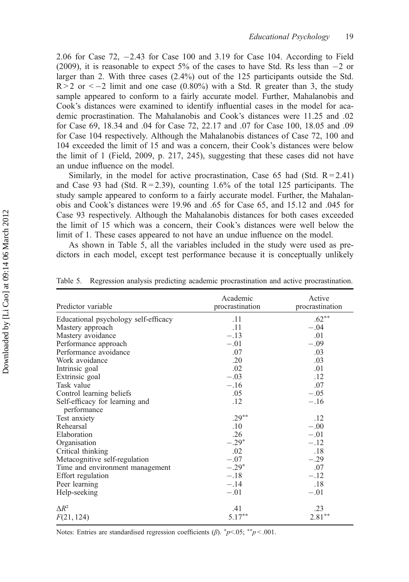2.06 for Case  $72$ ,  $-2.43$  for Case 100 and 3.19 for Case 104. According to Field (2009), it is reasonable to expect 5% of the cases to have Std. Rs less than  $-2$  or larger than 2. With three cases (2.4%) out of the 125 participants outside the Std.  $R > 2$  or  $\leq -2$  limit and one case (0.80%) with a Std. R greater than 3, the study sample appeared to conform to a fairly accurate model. Further, Mahalanobis and Cook's distances were examined to identify influential cases in the model for academic procrastination. The Mahalanobis and Cook's distances were 11.25 and .02 for Case 69, 18.34 and .04 for Case 72, 22.17 and .07 for Case 100, 18.05 and .09 for Case 104 respectively. Although the Mahalanobis distances of Case 72, 100 and 104 exceeded the limit of 15 and was a concern, their Cook's distances were below the limit of 1 (Field, 2009, p. 217, 245), suggesting that these cases did not have an undue influence on the model.

Similarly, in the model for active procrastination, Case 65 had (Std.  $R = 2.41$ ) and Case 93 had (Std.  $R = 2.39$ ), counting 1.6% of the total 125 participants. The study sample appeared to conform to a fairly accurate model. Further, the Mahalanobis and Cook's distances were 19.96 and .65 for Case 65, and 15.12 and .045 for Case 93 respectively. Although the Mahalanobis distances for both cases exceeded the limit of 15 which was a concern, their Cook's distances were well below the limit of 1. These cases appeared to not have an undue influence on the model.

As shown in Table 5, all the variables included in the study were used as predictors in each model, except test performance because it is conceptually unlikely

| Predictor variable                   | Academic<br>procrastination | Active<br>procrastination |
|--------------------------------------|-----------------------------|---------------------------|
| Educational psychology self-efficacy | .11                         | $.62**$                   |
| Mastery approach                     | .11                         | $-.04$                    |
| Mastery avoidance                    | $-.13$                      | .01                       |
| Performance approach                 | $-.01$                      | $-.09$                    |
| Performance avoidance                | .07                         | .03                       |
| Work avoidance                       | .20                         | .03                       |
| Intrinsic goal                       | .02                         | .01                       |
| Extrinsic goal                       | $-.03$                      | .12                       |
| Task value                           | $-.16$                      | .07                       |
| Control learning beliefs             | .05                         | $-.05$                    |
| Self-efficacy for learning and       | .12                         | $-.16$                    |
| performance                          |                             |                           |
| Test anxiety                         | $.29***$                    | .12                       |
| Rehearsal                            | .10                         | $-.00$                    |
| Elaboration                          | .26                         | $-.01$                    |
| Organisation                         | $-.29*$                     | $-.12$                    |
| Critical thinking                    | .02                         | .18                       |
| Metacognitive self-regulation        | $-.07$                      | $-.29$                    |
| Time and environment management      | $-.29*$                     | .07                       |
| Effort regulation                    | $-.18$                      | $-.12$                    |
| Peer learning                        | $-.14$                      | .18                       |
| Help-seeking                         | $-.01$                      | $-.01$                    |
| $\triangle R^2$                      | .41                         | .23                       |
| F(21, 124)                           | $5.17***$                   | $2.81***$                 |

Table 5. Regression analysis predicting academic procrastination and active procrastination.

Notes: Entries are standardised regression coefficients  $(\beta)$ .  $\sp{\ast}p$  < .001.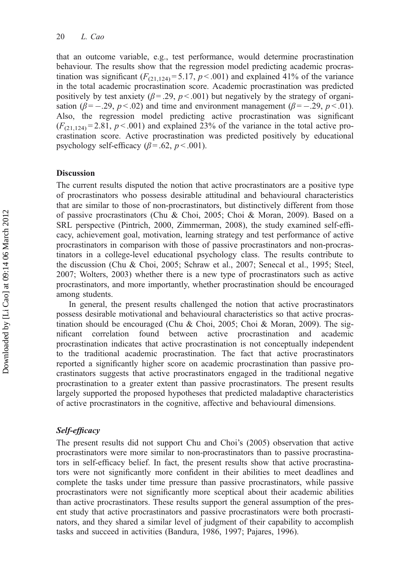that an outcome variable, e.g., test performance, would determine procrastination behaviour. The results show that the regression model predicting academic procrastination was significant  $(F_{(21,124)} = 5.17, p < .001)$  and explained 41% of the variance in the total academic procrastination score. Academic procrastination was predicted positively by test anxiety ( $\beta$  = .29,  $p$  < .001) but negatively by the strategy of organisation ( $\beta = -.29$ ,  $p < .02$ ) and time and environment management ( $\beta = -.29$ ,  $p < .01$ ). Also, the regression model predicting active procrastination was significant  $(F_{(21,124)} = 2.81, p < .001)$  and explained 23% of the variance in the total active procrastination score. Active procrastination was predicted positively by educational psychology self-efficacy ( $\beta$  = .62,  $p$  < .001).

# **Discussion**

The current results disputed the notion that active procrastinators are a positive type of procrastinators who possess desirable attitudinal and behavioural characteristics that are similar to those of non-procrastinators, but distinctively different from those of passive procrastinators (Chu & Choi, 2005; Choi & Moran, 2009). Based on a SRL perspective (Pintrich, 2000, Zimmerman, 2008), the study examined self-efficacy, achievement goal, motivation, learning strategy and test performance of active procrastinators in comparison with those of passive procrastinators and non-procrastinators in a college-level educational psychology class. The results contribute to the discussion (Chu & Choi, 2005; Schraw et al., 2007; Senecal et al., 1995; Steel, 2007; Wolters, 2003) whether there is a new type of procrastinators such as active procrastinators, and more importantly, whether procrastination should be encouraged among students.

In general, the present results challenged the notion that active procrastinators possess desirable motivational and behavioural characteristics so that active procrastination should be encouraged (Chu & Choi, 2005; Choi & Moran, 2009). The significant correlation found between active procrastination and academic procrastination indicates that active procrastination is not conceptually independent to the traditional academic procrastination. The fact that active procrastinators reported a significantly higher score on academic procrastination than passive procrastinators suggests that active procrastinators engaged in the traditional negative procrastination to a greater extent than passive procrastinators. The present results largely supported the proposed hypotheses that predicted maladaptive characteristics of active procrastinators in the cognitive, affective and behavioural dimensions.

#### Self-efficacy

The present results did not support Chu and Choi's (2005) observation that active procrastinators were more similar to non-procrastinators than to passive procrastinators in self-efficacy belief. In fact, the present results show that active procrastinators were not significantly more confident in their abilities to meet deadlines and complete the tasks under time pressure than passive procrastinators, while passive procrastinators were not significantly more sceptical about their academic abilities than active procrastinators. These results support the general assumption of the present study that active procrastinators and passive procrastinators were both procrastinators, and they shared a similar level of judgment of their capability to accomplish tasks and succeed in activities (Bandura, 1986, 1997; Pajares, 1996).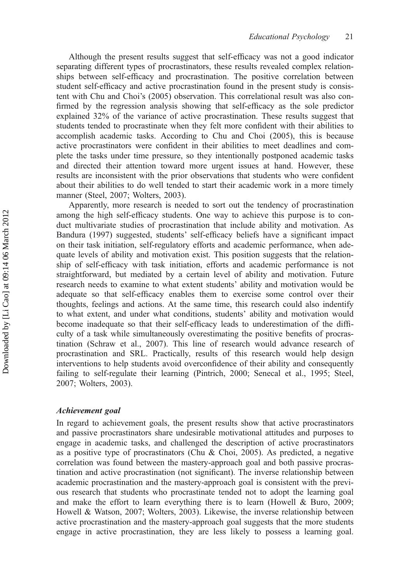Although the present results suggest that self-efficacy was not a good indicator separating different types of procrastinators, these results revealed complex relationships between self-efficacy and procrastination. The positive correlation between student self-efficacy and active procrastination found in the present study is consistent with Chu and Choi's (2005) observation. This correlational result was also confirmed by the regression analysis showing that self-efficacy as the sole predictor explained 32% of the variance of active procrastination. These results suggest that students tended to procrastinate when they felt more confident with their abilities to accomplish academic tasks. According to Chu and Choi (2005), this is because active procrastinators were confident in their abilities to meet deadlines and complete the tasks under time pressure, so they intentionally postponed academic tasks and directed their attention toward more urgent issues at hand. However, these results are inconsistent with the prior observations that students who were confident about their abilities to do well tended to start their academic work in a more timely manner (Steel, 2007; Wolters, 2003).

Apparently, more research is needed to sort out the tendency of procrastination among the high self-efficacy students. One way to achieve this purpose is to conduct multivariate studies of procrastination that include ability and motivation. As Bandura (1997) suggested, students' self-efficacy beliefs have a significant impact on their task initiation, self-regulatory efforts and academic performance, when adequate levels of ability and motivation exist. This position suggests that the relationship of self-efficacy with task initiation, efforts and academic performance is not straightforward, but mediated by a certain level of ability and motivation. Future research needs to examine to what extent students' ability and motivation would be adequate so that self-efficacy enables them to exercise some control over their thoughts, feelings and actions. At the same time, this research could also indentify to what extent, and under what conditions, students' ability and motivation would become inadequate so that their self-efficacy leads to underestimation of the difficulty of a task while simultaneously overestimating the positive benefits of procrastination (Schraw et al., 2007). This line of research would advance research of procrastination and SRL. Practically, results of this research would help design interventions to help students avoid overconfidence of their ability and consequently failing to self-regulate their learning (Pintrich, 2000; Senecal et al., 1995; Steel, 2007; Wolters, 2003).

#### Achievement goal

In regard to achievement goals, the present results show that active procrastinators and passive procrastinators share undesirable motivational attitudes and purposes to engage in academic tasks, and challenged the description of active procrastinators as a positive type of procrastinators (Chu & Choi, 2005). As predicted, a negative correlation was found between the mastery-approach goal and both passive procrastination and active procrastination (not significant). The inverse relationship between academic procrastination and the mastery-approach goal is consistent with the previous research that students who procrastinate tended not to adopt the learning goal and make the effort to learn everything there is to learn (Howell & Buro, 2009; Howell & Watson, 2007; Wolters, 2003). Likewise, the inverse relationship between active procrastination and the mastery-approach goal suggests that the more students engage in active procrastination, they are less likely to possess a learning goal.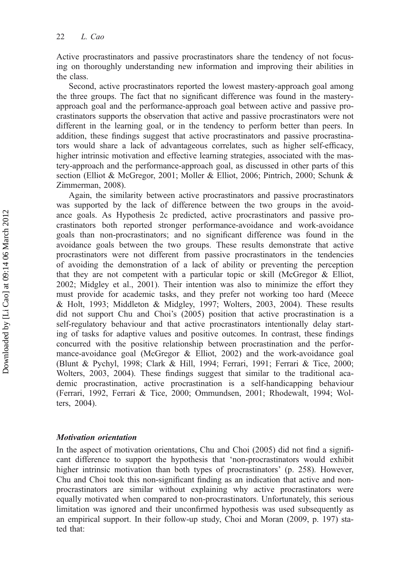Active procrastinators and passive procrastinators share the tendency of not focusing on thoroughly understanding new information and improving their abilities in the class.

Second, active procrastinators reported the lowest mastery-approach goal among the three groups. The fact that no significant difference was found in the masteryapproach goal and the performance-approach goal between active and passive procrastinators supports the observation that active and passive procrastinators were not different in the learning goal, or in the tendency to perform better than peers. In addition, these findings suggest that active procrastinators and passive procrastinators would share a lack of advantageous correlates, such as higher self-efficacy, higher intrinsic motivation and effective learning strategies, associated with the mastery-approach and the performance-approach goal, as discussed in other parts of this section (Elliot & McGregor, 2001; Moller & Elliot, 2006; Pintrich, 2000; Schunk & Zimmerman, 2008).

Again, the similarity between active procrastinators and passive procrastinators was supported by the lack of difference between the two groups in the avoidance goals. As Hypothesis 2c predicted, active procrastinators and passive procrastinators both reported stronger performance-avoidance and work-avoidance goals than non-procrastinators; and no significant difference was found in the avoidance goals between the two groups. These results demonstrate that active procrastinators were not different from passive procrastinators in the tendencies of avoiding the demonstration of a lack of ability or preventing the perception that they are not competent with a particular topic or skill (McGregor & Elliot, 2002; Midgley et al., 2001). Their intention was also to minimize the effort they must provide for academic tasks, and they prefer not working too hard (Meece & Holt, 1993; Middleton & Midgley, 1997; Wolters, 2003, 2004). These results did not support Chu and Choi's (2005) position that active procrastination is a self-regulatory behaviour and that active procrastinators intentionally delay starting of tasks for adaptive values and positive outcomes. In contrast, these findings concurred with the positive relationship between procrastination and the performance-avoidance goal (McGregor & Elliot, 2002) and the work-avoidance goal (Blunt & Pychyl, 1998; Clark & Hill, 1994; Ferrari, 1991; Ferrari & Tice, 2000; Wolters, 2003, 2004). These findings suggest that similar to the traditional academic procrastination, active procrastination is a self-handicapping behaviour (Ferrari, 1992, Ferrari & Tice, 2000; Ommundsen, 2001; Rhodewalt, 1994; Wolters, 2004).

# Motivation orientation

In the aspect of motivation orientations, Chu and Choi (2005) did not find a significant difference to support the hypothesis that 'non-procrastinators would exhibit higher intrinsic motivation than both types of procrastinators' (p. 258). However, Chu and Choi took this non-significant finding as an indication that active and nonprocrastinators are similar without explaining why active procrastinators were equally motivated when compared to non-procrastinators. Unfortunately, this serious limitation was ignored and their unconfirmed hypothesis was used subsequently as an empirical support. In their follow-up study, Choi and Moran (2009, p. 197) stated that: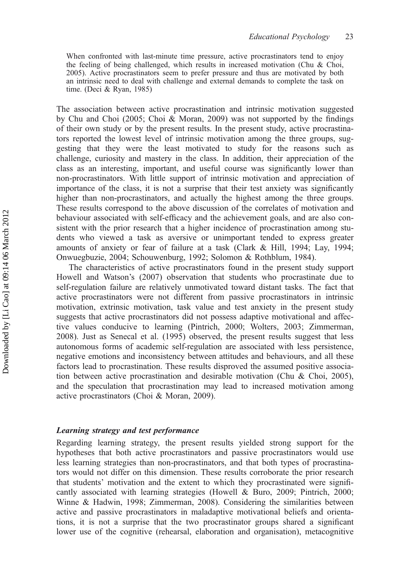When confronted with last-minute time pressure, active procrastinators tend to enjoy the feeling of being challenged, which results in increased motivation (Chu & Choi, 2005). Active procrastinators seem to prefer pressure and thus are motivated by both an intrinsic need to deal with challenge and external demands to complete the task on time. (Deci & Ryan, 1985)

The association between active procrastination and intrinsic motivation suggested by Chu and Choi (2005; Choi & Moran, 2009) was not supported by the findings of their own study or by the present results. In the present study, active procrastinators reported the lowest level of intrinsic motivation among the three groups, suggesting that they were the least motivated to study for the reasons such as challenge, curiosity and mastery in the class. In addition, their appreciation of the class as an interesting, important, and useful course was significantly lower than non-procrastinators. With little support of intrinsic motivation and appreciation of importance of the class, it is not a surprise that their test anxiety was significantly higher than non-procrastinators, and actually the highest among the three groups. These results correspond to the above discussion of the correlates of motivation and behaviour associated with self-efficacy and the achievement goals, and are also consistent with the prior research that a higher incidence of procrastination among students who viewed a task as aversive or unimportant tended to express greater amounts of anxiety or fear of failure at a task (Clark & Hill, 1994; Lay, 1994; Onwuegbuzie, 2004; Schouwenburg, 1992; Solomon & Rothblum, 1984).

The characteristics of active procrastinators found in the present study support Howell and Watson's (2007) observation that students who procrastinate due to self-regulation failure are relatively unmotivated toward distant tasks. The fact that active procrastinators were not different from passive procrastinators in intrinsic motivation, extrinsic motivation, task value and test anxiety in the present study suggests that active procrastinators did not possess adaptive motivational and affective values conducive to learning (Pintrich, 2000; Wolters, 2003; Zimmerman, 2008). Just as Senecal et al. (1995) observed, the present results suggest that less autonomous forms of academic self-regulation are associated with less persistence, negative emotions and inconsistency between attitudes and behaviours, and all these factors lead to procrastination. These results disproved the assumed positive association between active procrastination and desirable motivation (Chu & Choi, 2005), and the speculation that procrastination may lead to increased motivation among active procrastinators (Choi & Moran, 2009).

# Learning strategy and test performance

Regarding learning strategy, the present results yielded strong support for the hypotheses that both active procrastinators and passive procrastinators would use less learning strategies than non-procrastinators, and that both types of procrastinators would not differ on this dimension. These results corroborate the prior research that students' motivation and the extent to which they procrastinated were significantly associated with learning strategies (Howell & Buro, 2009; Pintrich, 2000; Winne & Hadwin, 1998; Zimmerman, 2008). Considering the similarities between active and passive procrastinators in maladaptive motivational beliefs and orientations, it is not a surprise that the two procrastinator groups shared a significant lower use of the cognitive (rehearsal, elaboration and organisation), metacognitive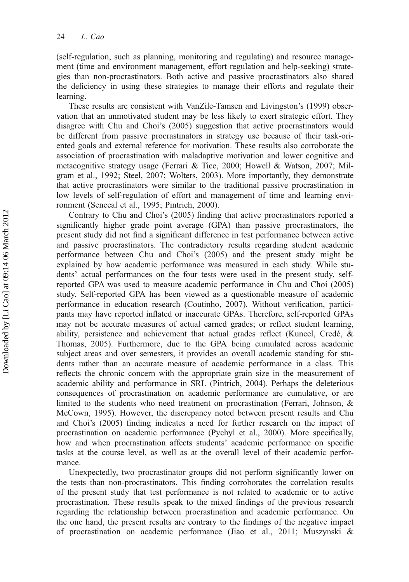(self-regulation, such as planning, monitoring and regulating) and resource management (time and environment management, effort regulation and help-seeking) strategies than non-procrastinators. Both active and passive procrastinators also shared the deficiency in using these strategies to manage their efforts and regulate their learning.

These results are consistent with VanZile-Tamsen and Livingston's (1999) observation that an unmotivated student may be less likely to exert strategic effort. They disagree with Chu and Choi's (2005) suggestion that active procrastinators would be different from passive procrastinators in strategy use because of their task-oriented goals and external reference for motivation. These results also corroborate the association of procrastination with maladaptive motivation and lower cognitive and metacognitive strategy usage (Ferrari & Tice, 2000; Howell & Watson, 2007; Milgram et al., 1992; Steel, 2007; Wolters, 2003). More importantly, they demonstrate that active procrastinators were similar to the traditional passive procrastination in low levels of self-regulation of effort and management of time and learning environment (Senecal et al., 1995; Pintrich, 2000).

Contrary to Chu and Choi's (2005) finding that active procrastinators reported a significantly higher grade point average (GPA) than passive procrastinators, the present study did not find a significant difference in test performance between active and passive procrastinators. The contradictory results regarding student academic performance between Chu and Choi's (2005) and the present study might be explained by how academic performance was measured in each study. While students' actual performances on the four tests were used in the present study, selfreported GPA was used to measure academic performance in Chu and Choi (2005) study. Self-reported GPA has been viewed as a questionable measure of academic performance in education research (Coutinho, 2007). Without verification, participants may have reported inflated or inaccurate GPAs. Therefore, self-reported GPAs may not be accurate measures of actual earned grades; or reflect student learning, ability, persistence and achievement that actual grades reflect (Kuncel, Credé, & Thomas, 2005). Furthermore, due to the GPA being cumulated across academic subject areas and over semesters, it provides an overall academic standing for students rather than an accurate measure of academic performance in a class. This reflects the chronic concern with the appropriate grain size in the measurement of academic ability and performance in SRL (Pintrich, 2004). Perhaps the deleterious consequences of procrastination on academic performance are cumulative, or are limited to the students who need treatment on procrastination (Ferrari, Johnson, & McCown, 1995). However, the discrepancy noted between present results and Chu and Choi's (2005) finding indicates a need for further research on the impact of procrastination on academic performance (Pychyl et al., 2000). More specifically, how and when procrastination affects students' academic performance on specific tasks at the course level, as well as at the overall level of their academic performance.

Unexpectedly, two procrastinator groups did not perform significantly lower on the tests than non-procrastinators. This finding corroborates the correlation results of the present study that test performance is not related to academic or to active procrastination. These results speak to the mixed findings of the previous research regarding the relationship between procrastination and academic performance. On the one hand, the present results are contrary to the findings of the negative impact of procrastination on academic performance (Jiao et al., 2011; Muszynski &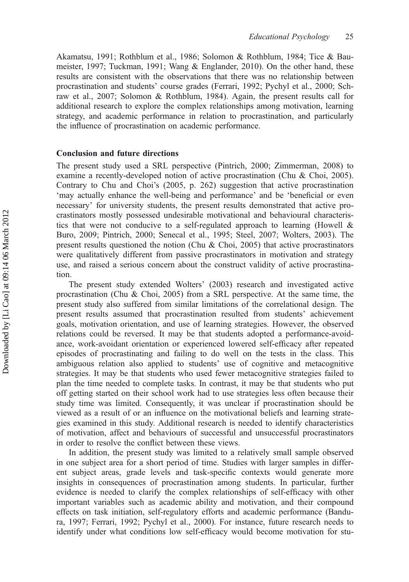Akamatsu, 1991; Rothblum et al., 1986; Solomon & Rothblum, 1984; Tice & Baumeister, 1997; Tuckman, 1991; Wang & Englander, 2010). On the other hand, these results are consistent with the observations that there was no relationship between procrastination and students' course grades (Ferrari, 1992; Pychyl et al., 2000; Schraw et al., 2007; Solomon & Rothblum, 1984). Again, the present results call for additional research to explore the complex relationships among motivation, learning strategy, and academic performance in relation to procrastination, and particularly the influence of procrastination on academic performance.

# Conclusion and future directions

The present study used a SRL perspective (Pintrich, 2000; Zimmerman, 2008) to examine a recently-developed notion of active procrastination (Chu & Choi, 2005). Contrary to Chu and Choi's (2005, p. 262) suggestion that active procrastination 'may actually enhance the well-being and performance' and be 'beneficial or even necessary' for university students, the present results demonstrated that active procrastinators mostly possessed undesirable motivational and behavioural characteristics that were not conducive to a self-regulated approach to learning (Howell & Buro, 2009; Pintrich, 2000; Senecal et al., 1995; Steel, 2007; Wolters, 2003). The present results questioned the notion (Chu & Choi, 2005) that active procrastinators were qualitatively different from passive procrastinators in motivation and strategy use, and raised a serious concern about the construct validity of active procrastination.

The present study extended Wolters' (2003) research and investigated active procrastination (Chu & Choi, 2005) from a SRL perspective. At the same time, the present study also suffered from similar limitations of the correlational design. The present results assumed that procrastination resulted from students' achievement goals, motivation orientation, and use of learning strategies. However, the observed relations could be reversed. It may be that students adopted a performance-avoidance, work-avoidant orientation or experienced lowered self-efficacy after repeated episodes of procrastinating and failing to do well on the tests in the class. This ambiguous relation also applied to students' use of cognitive and metacognitive strategies. It may be that students who used fewer metacognitive strategies failed to plan the time needed to complete tasks. In contrast, it may be that students who put off getting started on their school work had to use strategies less often because their study time was limited. Consequently, it was unclear if procrastination should be viewed as a result of or an influence on the motivational beliefs and learning strategies examined in this study. Additional research is needed to identify characteristics of motivation, affect and behaviours of successful and unsuccessful procrastinators in order to resolve the conflict between these views.

In addition, the present study was limited to a relatively small sample observed in one subject area for a short period of time. Studies with larger samples in different subject areas, grade levels and task-specific contexts would generate more insights in consequences of procrastination among students. In particular, further evidence is needed to clarify the complex relationships of self-efficacy with other important variables such as academic ability and motivation, and their compound effects on task initiation, self-regulatory efforts and academic performance (Bandura, 1997; Ferrari, 1992; Pychyl et al., 2000). For instance, future research needs to identify under what conditions low self-efficacy would become motivation for stu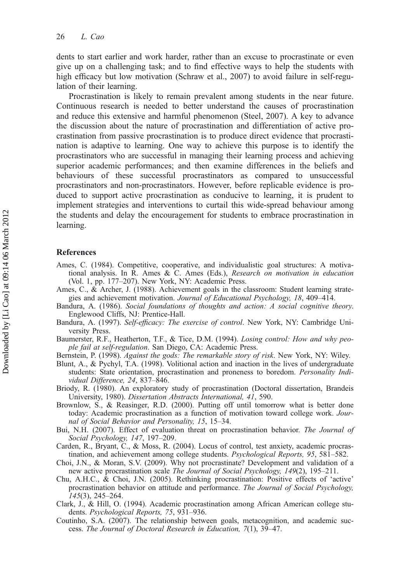dents to start earlier and work harder, rather than an excuse to procrastinate or even give up on a challenging task; and to find effective ways to help the students with high efficacy but low motivation (Schraw et al., 2007) to avoid failure in self-regulation of their learning.

Procrastination is likely to remain prevalent among students in the near future. Continuous research is needed to better understand the causes of procrastination and reduce this extensive and harmful phenomenon (Steel, 2007). A key to advance the discussion about the nature of procrastination and differentiation of active procrastination from passive procrastination is to produce direct evidence that procrastination is adaptive to learning. One way to achieve this purpose is to identify the procrastinators who are successful in managing their learning process and achieving superior academic performances; and then examine differences in the beliefs and behaviours of these successful procrastinators as compared to unsuccessful procrastinators and non-procrastinators. However, before replicable evidence is produced to support active procrastination as conducive to learning, it is prudent to implement strategies and interventions to curtail this wide-spread behaviour among the students and delay the encouragement for students to embrace procrastination in learning.

## References

- Ames, C. (1984). Competitive, cooperative, and individualistic goal structures: A motivational analysis. In R. Ames & C. Ames (Eds.), Research on motivation in education (Vol. 1, pp. 177–207). New York, NY: Academic Press.
- Ames, C., & Archer, J. (1988). Achievement goals in the classroom: Student learning strategies and achievement motivation. Journal of Educational Psychology, 18, 409–414.
- Bandura, A. (1986). Social foundations of thoughts and action: A social cognitive theory. Englewood Cliffs, NJ: Prentice-Hall.
- Bandura, A. (1997). Self-efficacy: The exercise of control. New York, NY: Cambridge University Press.
- Baumerster, R.F., Heatherton, T.F., & Tice, D.M. (1994). Losing control: How and why people fail at self-regulation. San Diego, CA: Academic Press.
- Bernstein, P. (1998). Against the gods: The remarkable story of risk. New York, NY: Wiley.
- Blunt, A., & Pychyl, T.A. (1998). Volitional action and inaction in the lives of undergraduate students: State orientation, procrastination and proneness to boredom. Personality Individual Difference, 24, 837–846.
- Briody, R. (1980). An exploratory study of procrastination (Doctoral dissertation, Brandeis University, 1980). Dissertation Abstracts International, 41, 590.
- Brownlow, S., & Reasinger, R.D. (2000). Putting off until tomorrow what is better done today: Academic procrastination as a function of motivation toward college work. Journal of Social Behavior and Personality, 15, 15–34.
- Bui, N.H. (2007). Effect of evaluation threat on procrastination behavior. The Journal of Social Psychology, 147, 197–209.
- Carden, R., Bryant, C., & Moss, R. (2004). Locus of control, test anxiety, academic procrastination, and achievement among college students. Psychological Reports, 95, 581–582.
- Choi, J.N., & Moran, S.V. (2009). Why not procrastinate? Development and validation of a new active procrastination scale The Journal of Social Psychology, 149(2), 195–211.
- Chu, A.H.C., & Choi, J.N. (2005). Rethinking procrastination: Positive effects of 'active' procrastination behavior on attitude and performance. The Journal of Social Psychology, 145(3), 245–264.
- Clark, J., & Hill, O. (1994). Academic procrastination among African American college students. Psychological Reports, 75, 931–936.
- Coutinho, S.A. (2007). The relationship between goals, metacognition, and academic success. The Journal of Doctoral Research in Education, 7(1), 39–47.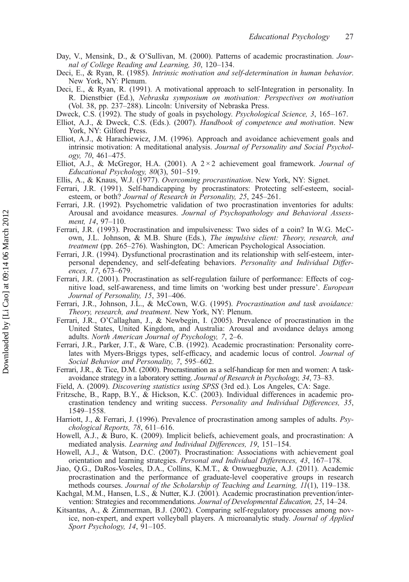- Day, V., Mensink, D., & O'Sullivan, M. (2000). Patterns of academic procrastination. Journal of College Reading and Learning, 30, 120–134.
- Deci, E., & Ryan, R. (1985). Intrinsic motivation and self-determination in human behavior. New York, NY: Plenum.
- Deci, E., & Ryan, R. (1991). A motivational approach to self-Integration in personality. In R. Dienstbier (Ed.), Nebraska symposium on motivation: Perspectives on motivation (Vol. 38, pp. 237–288). Lincoln: University of Nebraska Press.
- Dweck, C.S. (1992). The study of goals in psychology. Psychological Science, 3, 165–167.
- Elliot, A.J., & Dweck, C.S. (Eds.). (2007). Handbook of competence and motivation. New York, NY: Gilford Press.
- Elliot, A.J., & Harachiewicz, J.M. (1996). Approach and avoidance achievement goals and intrinsic motivation: A meditational analysis. Journal of Personality and Social Psychology, 70, 461–475.
- Elliot, A.J., & McGregor, H.A. (2001). A  $2 \times 2$  achievement goal framework. Journal of Educational Psychology, 80(3), 501–519.
- Ellis, A., & Knaus, W.J. (1977). Overcoming procrastination. New York, NY: Signet.
- Ferrari, J.R. (1991). Self-handicapping by procrastinators: Protecting self-esteem, socialesteem, or both? Journal of Research in Personality, 25, 245–261.
- Ferrari, J.R. (1992). Psychometric validation of two procrastination inventories for adults: Arousal and avoidance measures. Journal of Psychopathology and Behavioral Assessment, 14, 97–110.
- Ferrari, J.R. (1993). Procrastination and impulsiveness: Two sides of a coin? In W.G. McCown, J.L. Johnson, & M.B. Shure (Eds.), The impulsive client: Theory, research, and treatment (pp. 265–276). Washington, DC: American Psychological Association.
- Ferrari, J.R. (1994). Dysfunctional procrastination and its relationship with self-esteem, interpersonal dependency, and self-defeating behaviors. Personality and Individual Differences, 17, 673–679.
- Ferrari, J.R. (2001). Procrastination as self-regulation failure of performance: Effects of cognitive load, self-awareness, and time limits on 'working best under pressure'. European Journal of Personality, 15, 391–406.
- Ferrari, J.R., Johnson, J.L., & McCown, W.G. (1995). Procrastination and task avoidance: Theory, research, and treatment. New York, NY: Plenum.
- Ferrari, J.R., O'Callaghan, J., & Newbegin, I. (2005). Prevalence of procrastination in the United States, United Kingdom, and Australia: Arousal and avoidance delays among adults. North American Journal of Psychology, 7, 2–6.
- Ferrari, J.R., Parker, J.T., & Ware, C.B. (1992). Academic procrastination: Personality correlates with Myers-Briggs types, self-efficacy, and academic locus of control. Journal of Social Behavior and Personality, 7, 595–602.
- Ferrari, J.R., & Tice, D.M. (2000). Procrastination as a self-handicap for men and women: A taskavoidance strategy in a laboratory setting. Journal of Research in Psychology, 34, 73–83.
- Field, A. (2009). Discovering statistics using SPSS (3rd ed.). Los Angeles, CA: Sage.
- Fritzsche, B., Rapp, B.Y., & Hickson, K.C. (2003). Individual differences in academic procrastination tendency and writing success. Personality and Individual Differences, 35, 1549–1558.
- Harriott, J., & Ferrari, J. (1996). Prevalence of procrastination among samples of adults. Psychological Reports, 78, 611–616.
- Howell, A.J., & Buro, K. (2009). Implicit beliefs, achievement goals, and procrastination: A mediated analysis. Learning and Individual Differences, 19, 151–154.
- Howell, A.J., & Watson, D.C. (2007). Procrastination: Associations with achievement goal orientation and learning strategies. Personal and Individual Differences, 43, 167–178.
- Jiao, Q.G., DaRos-Voseles, D.A., Collins, K.M.T., & Onwuegbuzie, A.J. (2011). Academic procrastination and the performance of graduate-level cooperative groups in research methods courses. Journal of the Scholarship of Teaching and Learning, 11(1), 119–138.
- Kachgal, M.M., Hansen, L.S., & Nutter, K.J. (2001). Academic procrastination prevention/intervention: Strategies and recommendations. Journal of Developmental Education, 25, 14–24.
- Kitsantas, A., & Zimmerman, B.J. (2002). Comparing self-regulatory processes among novice, non-expert, and expert volleyball players. A microanalytic study. Journal of Applied Sport Psychology, 14, 91–105.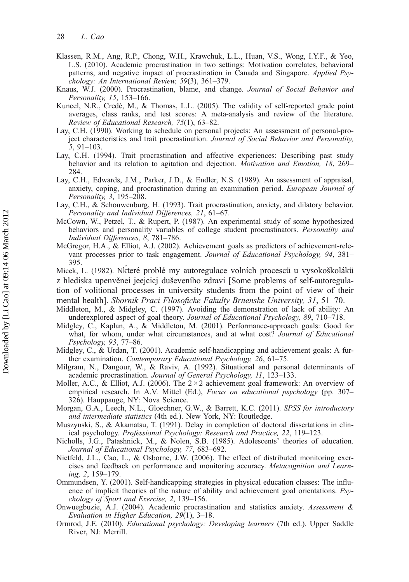- Klassen, R.M., Ang, R.P., Chong, W.H., Krawchuk, L.L., Huan, V.S., Wong, I.Y.F., & Yeo, L.S. (2010). Academic procrastination in two settings: Motivation correlates, behavioral patterns, and negative impact of procrastination in Canada and Singapore. Applied Psychology: An International Review, 59(3), 361–379.
- Knaus, W.J. (2000). Procrastination, blame, and change. Journal of Social Behavior and Personality, 15, 153–166.
- Kuncel, N.R., Credé, M., & Thomas, L.L. (2005). The validity of self-reported grade point averages, class ranks, and test scores: A meta-analysis and review of the literature. Review of Educational Research, 75(1), 63–82.
- Lay, C.H. (1990). Working to schedule on personal projects: An assessment of personal-project characteristics and trait procrastination. Journal of Social Behavior and Personality, 5, 91–103.
- Lay, C.H. (1994). Trait procrastination and affective experiences: Describing past study behavior and its relation to agitation and dejection. *Motivation and Emotion*, 18, 269– 284.
- Lay, C.H., Edwards, J.M., Parker, J.D., & Endler, N.S. (1989). An assessment of appraisal, anxiety, coping, and procrastination during an examination period. European Journal of Personality, 3, 195–208.
- Lay, C.H., & Schouwenburg, H. (1993). Trait procrastination, anxiety, and dilatory behavior. Personality and Individual Differences, 21, 61–67.
- McCown, W., Petzel, T., & Rupert, P. (1987). An experimental study of some hypothesized behaviors and personality variables of college student procrastinators. Personality and Individual Differences, 8, 781–786.
- McGregor, H.A., & Elliot, A.J. (2002). Achievement goals as predictors of achievement-relevant processes prior to task engagement. Journal of Educational Psychology, 94, 381– 395.
- Micek, L. (1982). Nkteré problé my autoregulace volních procescü u vysokoškolákü z hlediska upenvěneí jeejcicj duševeního zdravi [Some problems of self-autoregulation of volitional processes in university students from the point of view of their
- mental health]. Sbornik Praci Filosoficke Fakulty Brnenske University, 31, 51–70.
- Middleton, M., & Midgley, C. (1997). Avoiding the demonstration of lack of ability: An underexplored aspect of goal theory. Journal of Educational Psychology, 89, 710–718.
- Midgley, C., Kaplan, A., & Middleton, M. (2001). Performance-approach goals: Good for what, for whom, under what circumstances, and at what cost? Journal of Educational Psychology, 93, 77–86.
- Midgley, C., & Urdan, T. (2001). Academic self-handicapping and achievement goals: A further examination. Contemporary Educational Psychology, 26, 61–75.
- Milgram, N., Dangour, W., & Raviv, A. (1992). Situational and personal determinants of academic procrastination. Journal of General Psychology, 11, 123–133.
- Moller, A.C., & Elliot, A.J. (2006). The  $2 \times 2$  achievement goal framework: An overview of empirical research. In A.V. Mittel (Ed.), *Focus on educational psychology* (pp. 307– 326). Hauppauge, NY: Nova Science.
- Morgan, G.A., Leech, N.L., Gloechner, G.W., & Barrett, K.C. (2011). SPSS for introductory and intermediate statistics (4th ed.). New York, NY: Routledge.
- Muszynski, S., & Akamatsu, T. (1991). Delay in completion of doctoral dissertations in clinical psychology. Professional Psychology: Research and Practice, 22, 119–123.
- Nicholls, J.G., Patashnick, M., & Nolen, S.B. (1985). Adolescents' theories of education. Journal of Educational Psychology, 77, 683–692.
- Nietfeld, J.L., Cao, L., & Osborne, J.W. (2006). The effect of distributed monitoring exercises and feedback on performance and monitoring accuracy. Metacognition and Learning, 2, 159–179.
- Ommundsen, Y. (2001). Self-handicapping strategies in physical education classes: The influence of implicit theories of the nature of ability and achievement goal orientations. Psychology of Sport and Exercise, 2, 139–156.
- Onwuegbuzie, A.J. (2004). Academic procrastination and statistics anxiety. Assessment & Evaluation in Higher Education, 29(1), 3–18.
- Ormrod, J.E. (2010). Educational psychology: Developing learners (7th ed.). Upper Saddle River, NJ: Merrill.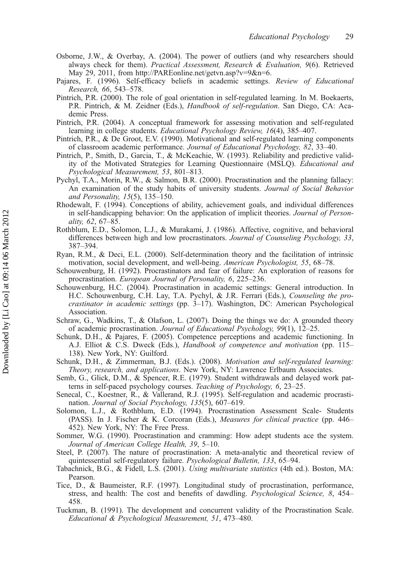- Osborne, J.W., & Overbay, A. (2004). The power of outliers (and why researchers should always check for them). Practical Assessment, Research & Evaluation, 9(6). Retrieved May 29, 2011, from [http://PAREonline.net/getvn.asp?v=9&n=6.](http://PAREonline.net/getvn.asp?v=9&n=6)
- Pajares, F. (1996). Self-efficacy beliefs in academic settings. Review of Educational Research, 66, 543–578.
- Pintrich, P.R. (2000). The role of goal orientation in self-regulated learning. In M. Boekaerts, P.R. Pintrich, & M. Zeidner (Eds.), Handbook of self-regulation. San Diego, CA: Academic Press.
- Pintrich, P.R. (2004). A conceptual framework for assessing motivation and self-regulated learning in college students. Educational Psychology Review, 16(4), 385-407.
- Pintrich, P.R., & De Groot, E.V. (1990). Motivational and self-regulated learning components of classroom academic performance. Journal of Educational Psychology, 82, 33–40.
- Pintrich, P., Smith, D., Garcia, T., & McKeachie, W. (1993). Reliability and predictive validity of the Motivated Strategies for Learning Questionnaire (MSLQ). Educational and Psychological Measurement, 53, 801–813.
- Pychyl, T.A., Morin, R.W., & Salmon, B.R. (2000). Procrastination and the planning fallacy: An examination of the study habits of university students. Journal of Social Behavior and Personality, 15(5), 135–150.
- Rhodewalt, F. (1994). Conceptions of ability, achievement goals, and individual differences in self-handicapping behavior: On the application of implicit theories. Journal of Personality, 62, 67–85.
- Rothblum, E.D., Solomon, L.J., & Murakami, J. (1986). Affective, cognitive, and behavioral differences between high and low procrastinators. Journal of Counseling Psychology, 33, 387–394.
- Ryan, R.M., & Deci, E.L. (2000). Self-determination theory and the facilitation of intrinsic motivation, social development, and well-being. American Psychologist, 55, 68–78.
- Schouwenburg, H. (1992). Procrastinators and fear of failure: An exploration of reasons for procrastination. European Journal of Personality, 6, 225–236.
- Schouwenburg, H.C. (2004). Procrastination in academic settings: General introduction. In H.C. Schouwenburg, C.H. Lay, T.A. Pychyl, & J.R. Ferrari (Eds.), Counseling the procrastinator in academic settings (pp. 3–17). Washington, DC: American Psychological Association.
- Schraw, G., Wadkins, T., & Olafson, L. (2007). Doing the things we do: A grounded theory of academic procrastination. Journal of Educational Psychology, 99(1), 12–25.
- Schunk, D.H., & Pajares, F. (2005). Competence perceptions and academic functioning. In A.J. Elliot & C.S. Dweck (Eds.), *Handbook of competence and motivation* (pp. 115– 138). New York, NY: Guilford.
- Schunk, D.H., & Zimmerman, B.J. (Eds.). (2008). Motivation and self-regulated learning: Theory, research, and applications. New York, NY: Lawrence Erlbaum Associates.
- Semb, G., Glick, D.M., & Spencer, R.E. (1979). Student withdrawals and delayed work patterns in self-paced psychology courses. Teaching of Psychology, 6, 23–25.
- Senecal, C., Koestner, R., & Vallerand, R.J. (1995). Self-regulation and academic procrastination. Journal of Social Psychology, 135(5), 607–619.
- Solomon, L.J., & Rothblum, E.D. (1994). Procrastination Assessment Scale- Students (PASS). In J. Fischer & K. Corcoran (Eds.), Measures for clinical practice (pp. 446– 452). New York, NY: The Free Press.
- Sommer, W.G. (1990). Procrastination and cramming: How adept students ace the system. Journal of American College Health, 39, 5–10.
- Steel, P. (2007). The nature of procrastination: A meta-analytic and theoretical review of quintessential self-regulatory failure. Psychological Bulletin, 133, 65–94.
- Tabachnick, B.G., & Fidell, L.S. (2001). Using multivariate statistics (4th ed.). Boston, MA: Pearson.
- Tice, D., & Baumeister, R.F. (1997). Longitudinal study of procrastination, performance, stress, and health: The cost and benefits of dawdling. Psychological Science, 8, 454– 458.
- Tuckman, B. (1991). The development and concurrent validity of the Procrastination Scale. Educational & Psychological Measurement, 51, 473–480.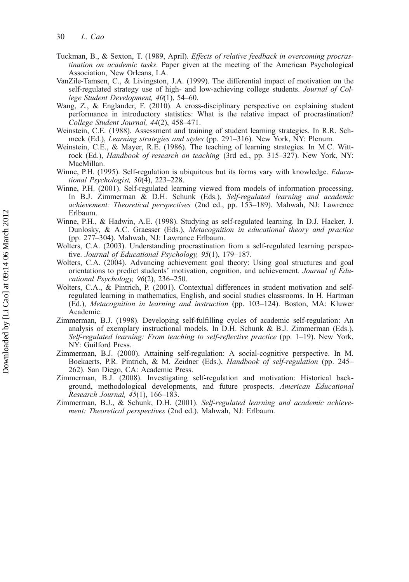- Tuckman, B., & Sexton, T. (1989, April). Effects of relative feedback in overcoming procrastination on academic tasks. Paper given at the meeting of the American Psychological Association, New Orleans, LA.
- VanZile-Tamsen, C., & Livingston, J.A. (1999). The differential impact of motivation on the self-regulated strategy use of high- and low-achieving college students. Journal of College Student Development, 40(1), 54–60.
- Wang, Z., & Englander, F. (2010). A cross-disciplinary perspective on explaining student performance in introductory statistics: What is the relative impact of procrastination? College Student Journal, 44(2), 458–471.
- Weinstein, C.E. (1988). Assessment and training of student learning strategies. In R.R. Schmeck (Ed.), Learning strategies and styles (pp. 291–316). New York, NY: Plenum.
- Weinstein, C.E., & Mayer, R.E. (1986). The teaching of learning strategies. In M.C. Wittrock (Ed.), Handbook of research on teaching (3rd ed., pp. 315–327). New York, NY: MacMillan.
- Winne, P.H. (1995). Self-regulation is ubiquitous but its forms vary with knowledge. *Educa*tional Psychologist, 30(4), 223–228.
- Winne, P.H. (2001). Self-regulated learning viewed from models of information processing. In B.J. Zimmerman & D.H. Schunk (Eds.), Self-regulated learning and academic achievement: Theoretical perspectives (2nd ed., pp. 153–189). Mahwah, NJ: Lawrence Erlbaum.
- Winne, P.H., & Hadwin, A.E. (1998). Studying as self-regulated learning. In D.J. Hacker, J. Dunlosky, & A.C. Graesser (Eds.), Metacognition in educational theory and practice (pp. 277–304). Mahwah, NJ: Lawrance Erlbaum.
- Wolters, C.A. (2003). Understanding procrastination from a self-regulated learning perspective. Journal of Educational Psychology, 95(1), 179–187.
- Wolters, C.A. (2004). Advancing achievement goal theory: Using goal structures and goal orientations to predict students' motivation, cognition, and achievement. Journal of Educational Psychology, 96(2), 236–250.
- Wolters, C.A., & Pintrich, P. (2001). Contextual differences in student motivation and selfregulated learning in mathematics, English, and social studies classrooms. In H. Hartman (Ed.), Metacognition in learning and instruction (pp. 103–124). Boston, MA: Kluwer Academic.
- Zimmerman, B.J. (1998). Developing self-fulfilling cycles of academic self-regulation: An analysis of exemplary instructional models. In D.H. Schunk & B.J. Zimmerman (Eds.), Self-regulated learning: From teaching to self-reflective practice (pp. 1–19). New York, NY: Guilford Press.
- Zimmerman, B.J. (2000). Attaining self-regulation: A social-cognitive perspective. In M. Boekaerts, P.R. Pintrich, & M. Zeidner (Eds.), Handbook of self-regulation (pp. 245– 262). San Diego, CA: Academic Press.
- Zimmerman, B.J. (2008). Investigating self-regulation and motivation: Historical background, methodological developments, and future prospects. American Educational Research Journal, 45(1), 166–183.
- Zimmerman, B.J., & Schunk, D.H. (2001). Self-regulated learning and academic achievement: Theoretical perspectives (2nd ed.). Mahwah, NJ: Erlbaum.